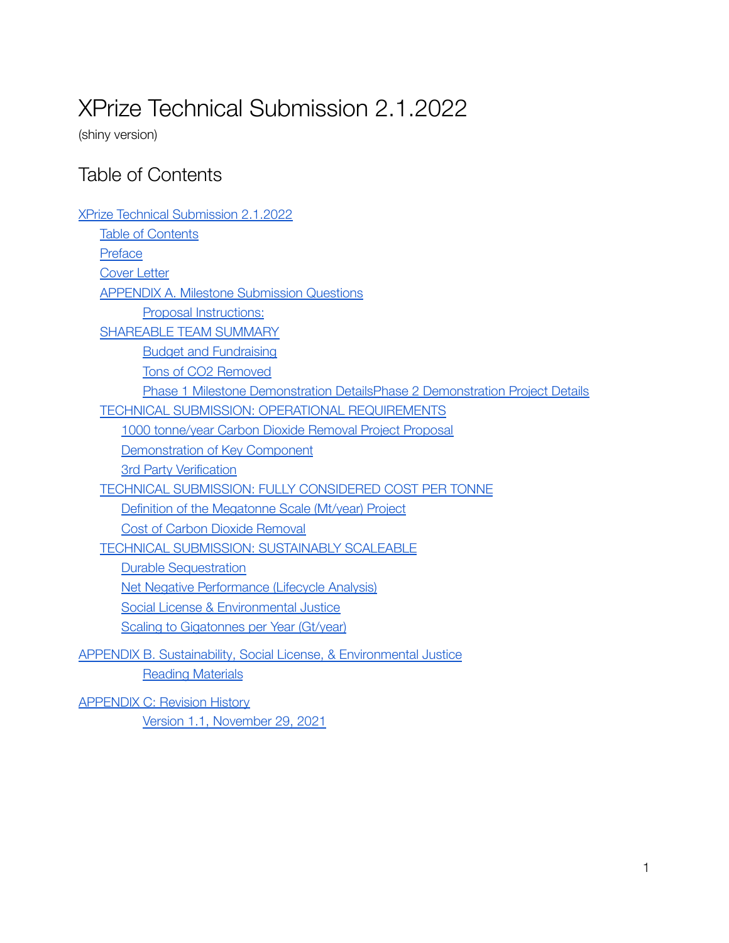# <span id="page-0-0"></span>XPrize Technical Submission 2.1.2022

(shiny version)

## <span id="page-0-1"></span>Table of Contents

| <b>XPrize Technical Submission 2.1.2022</b>                                  |
|------------------------------------------------------------------------------|
| <b>Table of Contents</b>                                                     |
| Preface                                                                      |
| <b>Cover Letter</b>                                                          |
| <b>APPENDIX A. Milestone Submission Questions</b>                            |
| Proposal Instructions:                                                       |
| SHAREABLE TEAM SUMMARY                                                       |
| <b>Budget and Fundraising</b>                                                |
| Tons of CO2 Removed                                                          |
| Phase 1 Milestone Demonstration DetailsPhase 2 Demonstration Project Details |
| TECHNICAL SUBMISSION: OPERATIONAL REQUIREMENTS                               |
| 1000 tonne/year Carbon Dioxide Removal Project Proposal                      |
| Demonstration of Key Component                                               |
| <b>3rd Party Verification</b>                                                |
| TECHNICAL SUBMISSION: FULLY CONSIDERED COST PER TONNE                        |
| Definition of the Megatonne Scale (Mt/year) Project                          |
| <b>Cost of Carbon Dioxide Removal</b>                                        |
| <b>TECHNICAL SUBMISSION: SUSTAINABLY SCALEABLE</b>                           |
| <b>Durable Sequestration</b>                                                 |
| <b>Net Negative Performance (Lifecycle Analysis)</b>                         |
| Social License & Environmental Justice                                       |
| <b>Scaling to Gigatonnes per Year (Gt/year)</b>                              |
| APPENDIX B. Sustainability, Social License, & Environmental Justice          |
| <b>Reading Materials</b>                                                     |

[APPENDIX](#page-40-0) C: Revision History Version 1.1, [November](#page-40-1) 29, 2021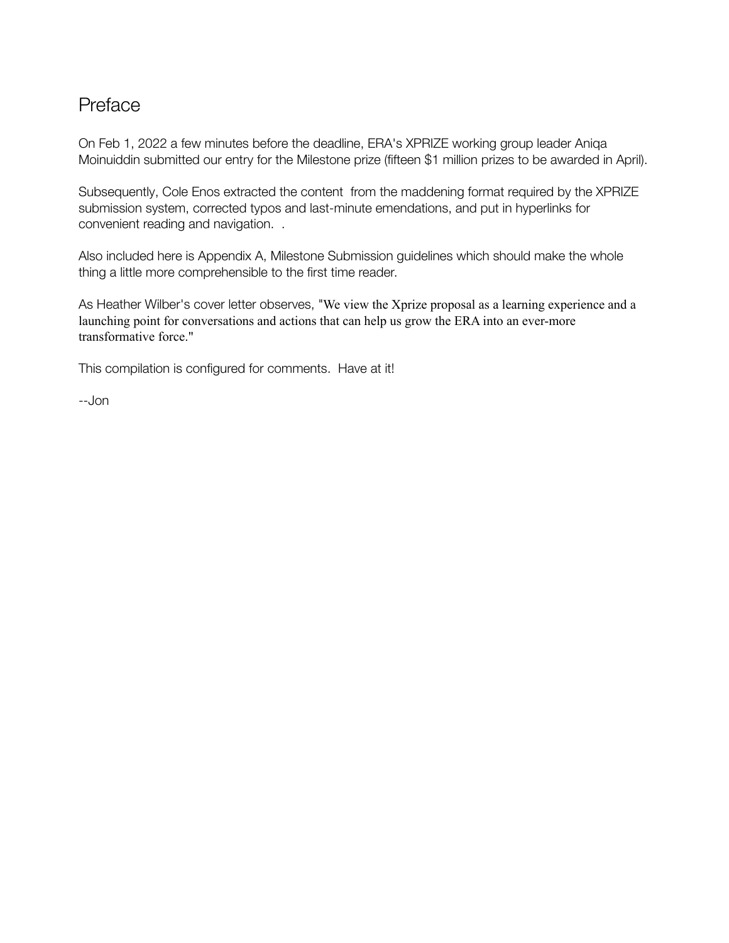## <span id="page-1-0"></span>Preface

On Feb 1, 2022 a few minutes before the deadline, ERA's XPRIZE working group leader Aniqa Moinuiddin submitted our entry for the Milestone prize (fifteen \$1 million prizes to be awarded in April).

Subsequently, Cole Enos extracted the content from the maddening format required by the XPRIZE submission system, corrected typos and last-minute emendations, and put in hyperlinks for convenient reading and navigation. .

Also included here is Appendix A, Milestone Submission guidelines which should make the whole thing a little more comprehensible to the first time reader.

As Heather Wilber's cover letter observes, "We view the Xprize proposal as a learning experience and a launching point for conversations and actions that can help us grow the ERA into an ever-more transformative force."

This compilation is configured for comments. Have at it!

--Jon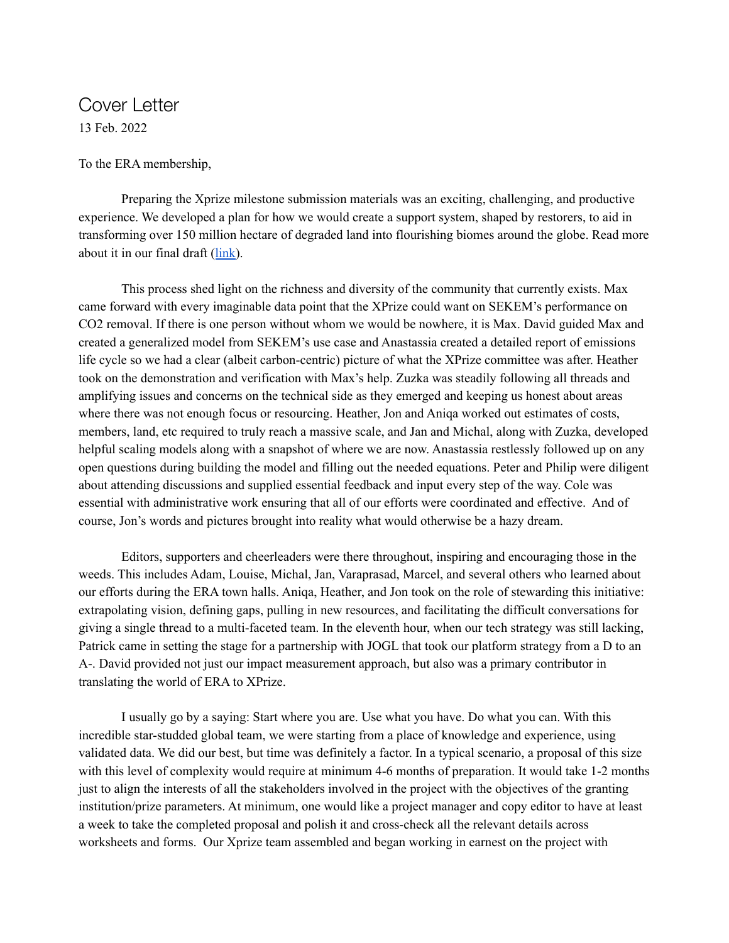## <span id="page-2-0"></span>Cover Letter 13 Feb. 2022

To the ERA membership,

Preparing the Xprize milestone submission materials was an exciting, challenging, and productive experience. We developed a plan for how we would create a support system, shaped by restorers, to aid in transforming over 150 million hectare of degraded land into flourishing biomes around the globe. Read more about it in our final draft ([link\)](https://docs.google.com/document/d/1-M4UzASGTMVgTxTs9ttBO_8Eu2QbinQ-/edit?usp=sharing&ouid=102922428773332994988&rtpof=true&sd=true).

This process shed light on the richness and diversity of the community that currently exists. Max came forward with every imaginable data point that the XPrize could want on SEKEM's performance on CO2 removal. If there is one person without whom we would be nowhere, it is Max. David guided Max and created a generalized model from SEKEM's use case and Anastassia created a detailed report of emissions life cycle so we had a clear (albeit carbon-centric) picture of what the XPrize committee was after. Heather took on the demonstration and verification with Max's help. Zuzka was steadily following all threads and amplifying issues and concerns on the technical side as they emerged and keeping us honest about areas where there was not enough focus or resourcing. Heather, Jon and Aniqa worked out estimates of costs, members, land, etc required to truly reach a massive scale, and Jan and Michal, along with Zuzka, developed helpful scaling models along with a snapshot of where we are now. Anastassia restlessly followed up on any open questions during building the model and filling out the needed equations. Peter and Philip were diligent about attending discussions and supplied essential feedback and input every step of the way. Cole was essential with administrative work ensuring that all of our efforts were coordinated and effective. And of course, Jon's words and pictures brought into reality what would otherwise be a hazy dream.

Editors, supporters and cheerleaders were there throughout, inspiring and encouraging those in the weeds. This includes Adam, Louise, Michal, Jan, Varaprasad, Marcel, and several others who learned about our efforts during the ERA town halls. Aniqa, Heather, and Jon took on the role of stewarding this initiative: extrapolating vision, defining gaps, pulling in new resources, and facilitating the difficult conversations for giving a single thread to a multi-faceted team. In the eleventh hour, when our tech strategy was still lacking, Patrick came in setting the stage for a partnership with JOGL that took our platform strategy from a D to an A-. David provided not just our impact measurement approach, but also was a primary contributor in translating the world of ERA to XPrize.

I usually go by a saying: Start where you are. Use what you have. Do what you can. With this incredible star-studded global team, we were starting from a place of knowledge and experience, using validated data. We did our best, but time was definitely a factor. In a typical scenario, a proposal of this size with this level of complexity would require at minimum 4-6 months of preparation. It would take 1-2 months just to align the interests of all the stakeholders involved in the project with the objectives of the granting institution/prize parameters. At minimum, one would like a project manager and copy editor to have at least a week to take the completed proposal and polish it and cross-check all the relevant details across worksheets and forms. Our Xprize team assembled and began working in earnest on the project with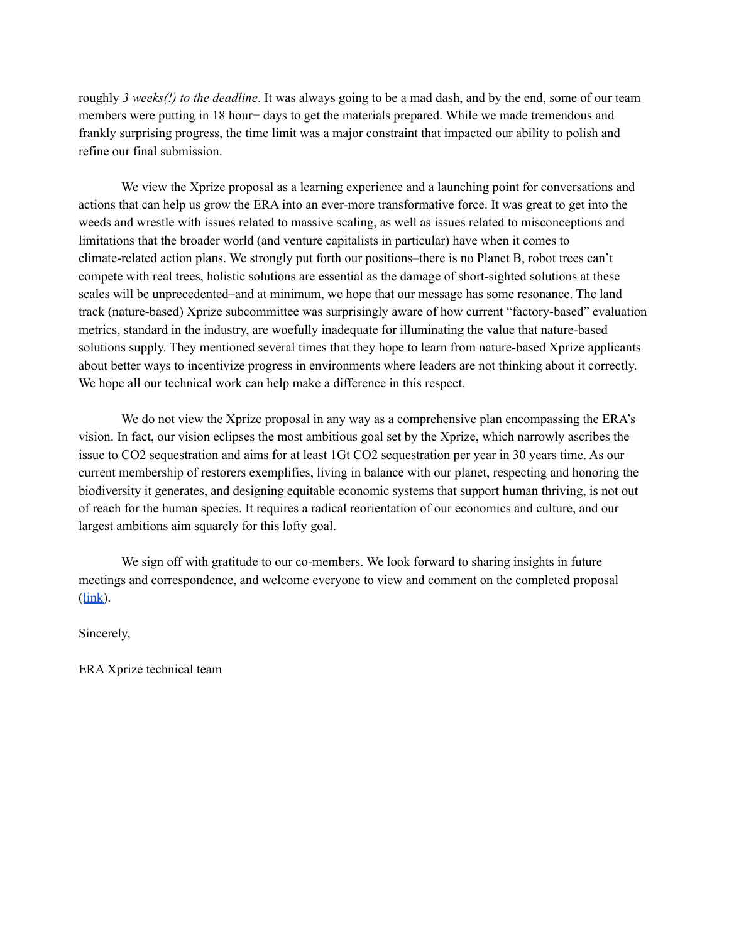roughly *3 weeks(!) to the deadline*. It was always going to be a mad dash, and by the end, some of our team members were putting in 18 hour+ days to get the materials prepared. While we made tremendous and frankly surprising progress, the time limit was a major constraint that impacted our ability to polish and refine our final submission.

We view the Xprize proposal as a learning experience and a launching point for conversations and actions that can help us grow the ERA into an ever-more transformative force. It was great to get into the weeds and wrestle with issues related to massive scaling, as well as issues related to misconceptions and limitations that the broader world (and venture capitalists in particular) have when it comes to climate-related action plans. We strongly put forth our positions–there is no Planet B, robot trees can't compete with real trees, holistic solutions are essential as the damage of short-sighted solutions at these scales will be unprecedented–and at minimum, we hope that our message has some resonance. The land track (nature-based) Xprize subcommittee was surprisingly aware of how current "factory-based" evaluation metrics, standard in the industry, are woefully inadequate for illuminating the value that nature-based solutions supply. They mentioned several times that they hope to learn from nature-based Xprize applicants about better ways to incentivize progress in environments where leaders are not thinking about it correctly. We hope all our technical work can help make a difference in this respect.

We do not view the Xprize proposal in any way as a comprehensive plan encompassing the ERA's vision. In fact, our vision eclipses the most ambitious goal set by the Xprize, which narrowly ascribes the issue to CO2 sequestration and aims for at least 1Gt CO2 sequestration per year in 30 years time. As our current membership of restorers exemplifies, living in balance with our planet, respecting and honoring the biodiversity it generates, and designing equitable economic systems that support human thriving, is not out of reach for the human species. It requires a radical reorientation of our economics and culture, and our largest ambitions aim squarely for this lofty goal.

We sign off with gratitude to our co-members. We look forward to sharing insights in future meetings and correspondence, and welcome everyone to view and comment on the completed proposal ([link\)](https://docs.google.com/document/d/1-M4UzASGTMVgTxTs9ttBO_8Eu2QbinQ-/edit?usp=sharing&ouid=102922428773332994988&rtpof=true&sd=true).

Sincerely,

ERA Xprize technical team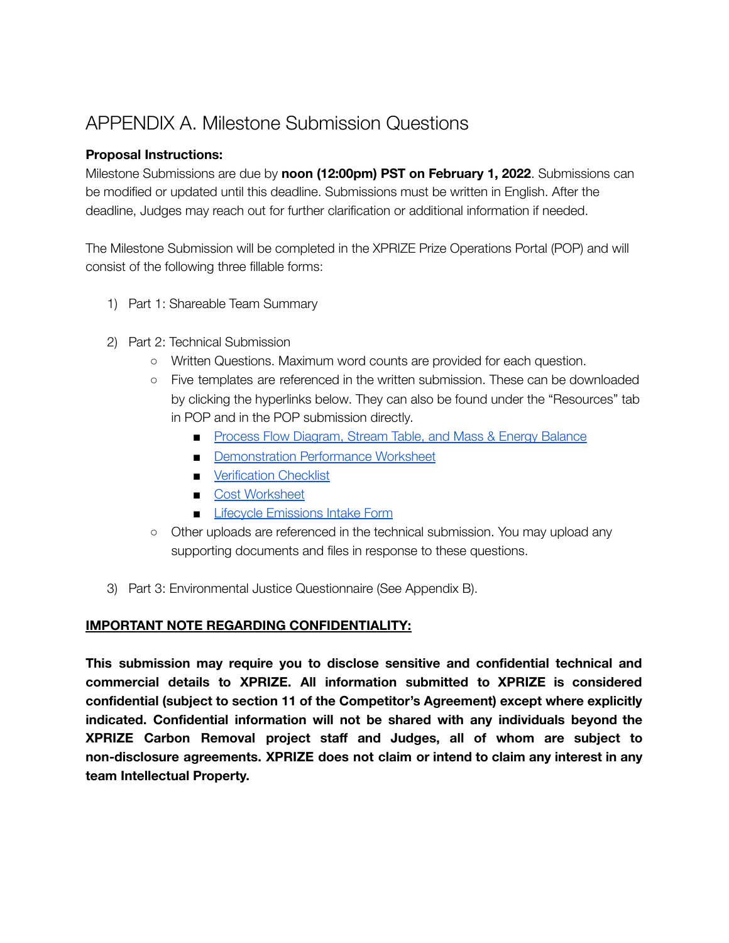## <span id="page-4-0"></span>APPENDIX A. Milestone Submission Questions

## <span id="page-4-1"></span>**Proposal Instructions:**

Milestone Submissions are due by **noon (12:00pm) PST on February 1, 2022**. Submissions can be modified or updated until this deadline. Submissions must be written in English. After the deadline, Judges may reach out for further clarification or additional information if needed.

The Milestone Submission will be completed in the XPRIZE Prize Operations Portal (POP) and will consist of the following three fillable forms:

- 1) Part 1: Shareable Team Summary
- 2) Part 2: Technical Submission
	- Written Questions. Maximum word counts are provided for each question.
	- Five templates are referenced in the written submission. These can be downloaded by clicking the hyperlinks below. They can also be found under the "Resources" tab in POP and in the POP submission directly.
		- Process Flow [Diagram,](https://assets-us-01.kc-usercontent.com/63b2a548-6c3c-00e9-179d-86a0cff8b148/40850ff9-b626-47bd-9ed2-d64e2ed1dce9/PFD%20-StreamTable%20-%20Balance%20Template%20v1.0.xlsx) Stream Table, and Mass & Energy Balance
		- [Demonstration](https://assets-us-01.kc-usercontent.com/63b2a548-6c3c-00e9-179d-86a0cff8b148/31d7dffc-7649-4f35-94b3-4cf51ac565db/Demonstration%20Performance%20Worksheet%20v1.0.xlsx) Performance Worksheet
		- [Verification](https://assets-us-01.kc-usercontent.com/63b2a548-6c3c-00e9-179d-86a0cff8b148/a58c3f35-1753-4501-a604-33dd28fd5405/Verification%20Checklist%20v1.0.xlsx) Checklist
		- Cost [Worksheet](https://assets-us-01.kc-usercontent.com/63b2a548-6c3c-00e9-179d-86a0cff8b148/fd8b1ef9-461b-4691-b738-d98cfd9905aa/Cost%20Worksheet%20v1.0.xlsx)
		- **Example 2** Lifecycle [Emissions](https://assets-us-01.kc-usercontent.com/63b2a548-6c3c-00e9-179d-86a0cff8b148/bdc78af0-cb08-4865-afc9-2da3cd22d901/LEIF_V3.6.xlsx) Intake Form
	- Other uploads are referenced in the technical submission. You may upload any supporting documents and files in response to these questions.
- 3) Part 3: Environmental Justice Questionnaire (See Appendix B).

## **IMPORTANT NOTE REGARDING CONFIDENTIALITY:**

**This submission may require you to disclose sensitive and confidential technical and commercial details to XPRIZE. All information submitted to XPRIZE is considered confidential (subject to section 11 of the Competitor's Agreement) except where explicitly indicated. Confidential information will not be shared with any individuals beyond the XPRIZE Carbon Removal project staff and Judges, all of whom are subject to non-disclosure agreements. XPRIZE does not claim or intend to claim any interest in any team Intellectual Property.**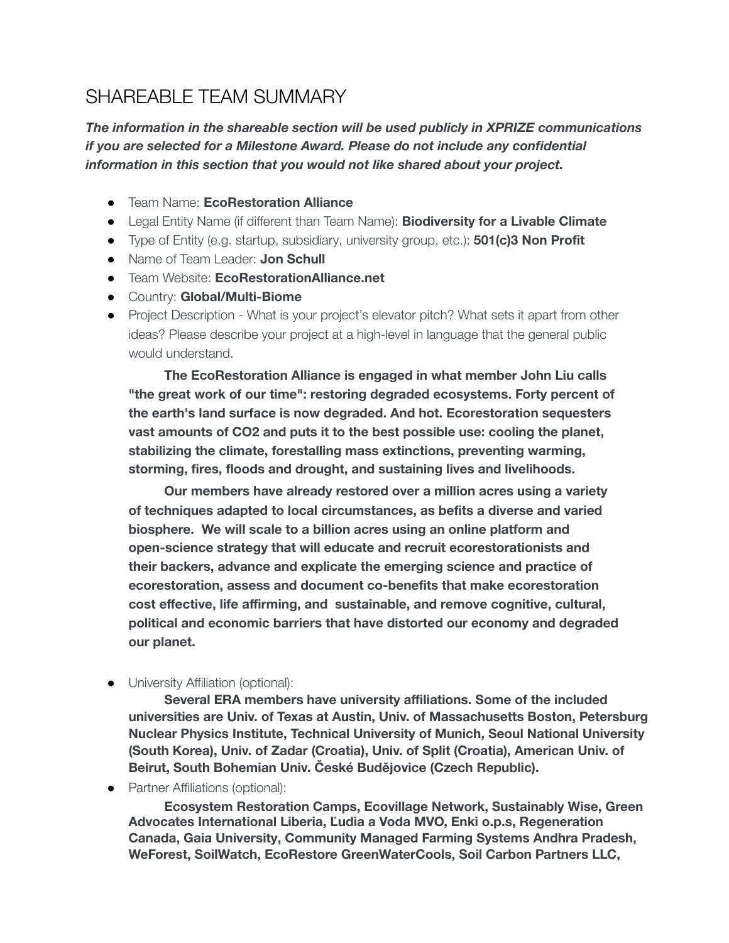## <span id="page-5-0"></span>SHAREABLE TEAM SUMMARY

*The information in the shareable section will be used publicly in XPRIZE communications if you are selected for a Milestone Award. Please do not include any confidential information in this section that you would not like shared about your project.*

- Team Name: **EcoRestoration Alliance**
- Legal Entity Name (if different than Team Name): **Biodiversity for a Livable Climate**
- Type of Entity (e.g. startup, subsidiary, university group, etc.): **501(c)3 Non Profit**
- Name of Team Leader: **Jon Schull**
- Team Website: **EcoRestorationAlliance.net**
- Country: **Global/Multi-Biome**
- Project Description What is your project's elevator pitch? What sets it apart from other ideas? Please describe your project at a high-level in language that the general public would understand.

**The EcoRestoration Alliance is engaged in what member John Liu calls "the great work of our time": restoring degraded ecosystems. Forty percent of the earth's land surface is now degraded. And hot. Ecorestoration sequesters vast amounts of CO2 and puts it to the best possible use: cooling the planet, stabilizing the climate, forestalling mass extinctions, preventing warming, storming, fires, floods and drought, and sustaining lives and livelihoods.**

**Our members have already restored over a million acres using a variety of techniques adapted to local circumstances, as befits a diverse and varied biosphere. We will scale to a billion acres using an online platform and open-science strategy that will educate and recruit ecorestorationists and their backers, advance and explicate the emerging science and practice of ecorestoration, assess and document co-benefits that make ecorestoration cost effective, life affirming, and sustainable, and remove cognitive, cultural, political and economic barriers that have distorted our economy and degraded our planet.**

● University Affiliation (optional):

**Several ERA members have university affiliations. Some of the included universities are Univ. of Texas at Austin, Univ. of Massachusetts Boston, Petersburg Nuclear Physics Institute, Technical University of Munich, Seoul National University (South Korea), Univ. of Zadar (Croatia), Univ. of Split (Croatia), American Univ. of Beirut, South Bohemian Univ. České Budějovice (Czech Republic).**

● Partner Affiliations (optional):

**Ecosystem Restoration Camps, Ecovillage Network, Sustainably Wise, Green Advocates International Liberia, Ľudia a Voda MVO, Enki o.p.s, Regeneration Canada, Gaia University, Community Managed Farming Systems Andhra Pradesh, WeForest, SoilWatch, EcoRestore GreenWaterCools, Soil Carbon Partners LLC,**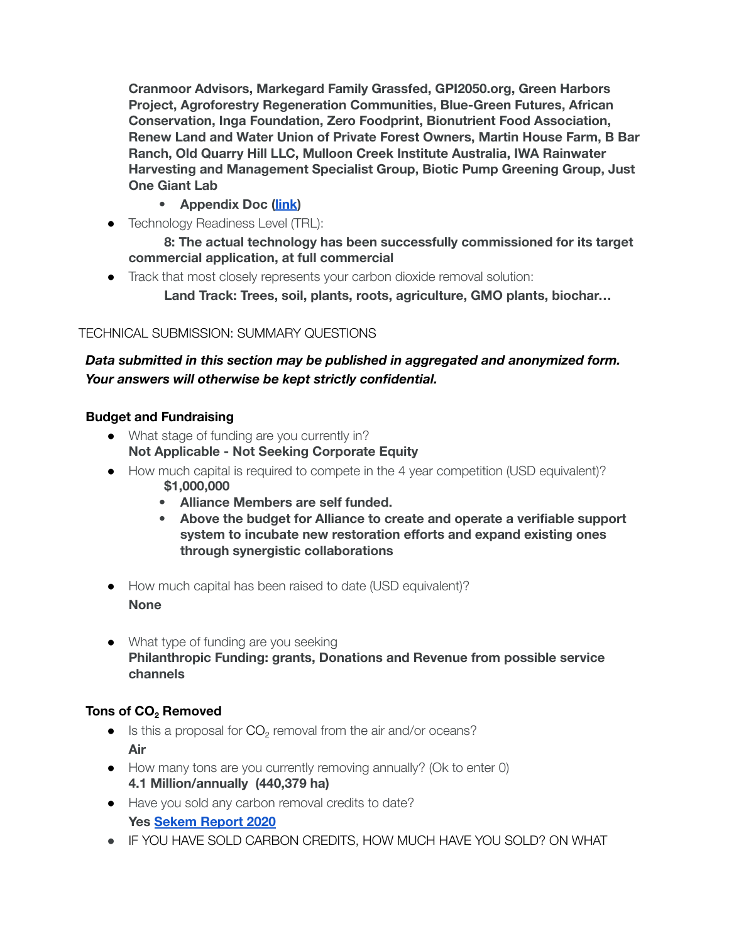**Cranmoor Advisors, Markegard Family Grassfed, GPI2050.org, Green Harbors Project, Agroforestry Regeneration Communities, Blue-Green Futures, African Conservation, Inga Foundation, Zero Foodprint, Bionutrient Food Association, Renew Land and Water Union of Private Forest Owners, Martin House Farm, B Bar Ranch, Old Quarry Hill LLC, Mulloon Creek Institute Australia, IWA Rainwater Harvesting and Management Specialist Group, Biotic Pump Greening Group, Just One Giant Lab**

- **• Appendix Doc [\(link\)](https://docs.google.com/spreadsheets/d/1c1pXD7pa5Iy-C1Lg1FpQPUsEZmhx4k1DNKeGXuJC6s4/edit?usp=sharing)**
- Technology Readiness Level (TRL):

**8: The actual technology has been successfully commissioned for its target commercial application, at full commercial**

● Track that most closely represents your carbon dioxide removal solution:

**Land Track: Trees, soil, plants, roots, agriculture, GMO plants, biochar…**

## TECHNICAL SUBMISSION: SUMMARY QUESTIONS

## *Data submitted in this section may be published in aggregated and anonymized form. Your answers will otherwise be kept strictly confidential.*

## <span id="page-6-0"></span>**Budget and Fundraising**

- What stage of funding are you currently in? **Not Applicable - Not Seeking Corporate Equity**
- How much capital is required to compete in the 4 year competition (USD equivalent)?
	- **\$1,000,000**
	- **• Alliance Members are self funded.**
	- **• Above the budget for Alliance to create and operate a verifiable support system to incubate new restoration efforts and expand existing ones through synergistic collaborations**
- How much capital has been raised to date (USD equivalent)? **None**
- What type of funding are you seeking **Philanthropic Funding: grants, Donations and Revenue from possible service channels**

## <span id="page-6-1"></span>**Tons of CO<sup>2</sup> Removed**

- $\bullet$  Is this a proposal for  $CO<sub>2</sub>$  removal from the air and/or oceans? **Air**
- How many tons are you currently removing annually? (Ok to enter 0) **4.1 Million/annually (440,379 ha)**
- Have you sold any carbon removal credits to date? **Yes Sekem [Report](https://drive.google.com/drive/folders/1a88Es2tmQYFQtSb2uSYw22HsvPrkwqyy) 2020**
- **•** IF YOU HAVE SOLD CARBON CREDITS, HOW MUCH HAVE YOU SOLD? ON WHAT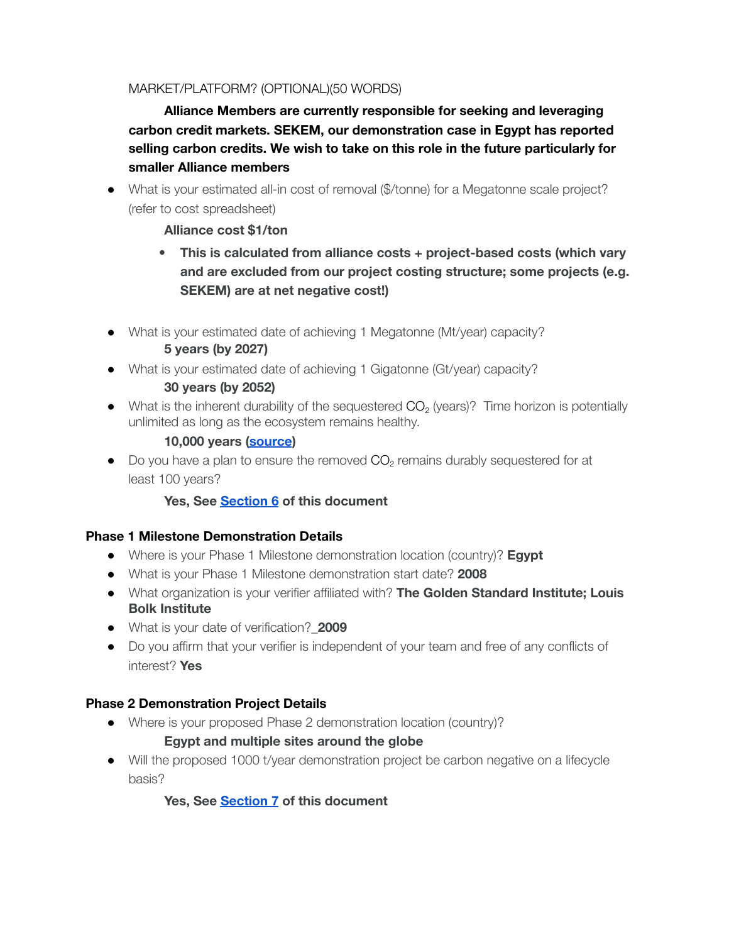## MARKET/PLATFORM? (OPTIONAL)(50 WORDS)

**Alliance Members are currently responsible for seeking and leveraging carbon credit markets. SEKEM, our demonstration case in Egypt has reported selling carbon credits. We wish to take on this role in the future particularly for smaller Alliance members**

• What is your estimated all-in cost of removal (\$/tonne) for a Megatonne scale project? (refer to cost spreadsheet)

## **Alliance cost \$1/ton**

- **• This is calculated from alliance costs + project-based costs (which vary and are excluded from our project costing structure; some projects (e.g. SEKEM) are at net negative cost!)**
- What is your estimated date of achieving 1 Megatonne (Mt/year) capacity? **5 years (by 2027)**
- What is your estimated date of achieving 1 Gigatonne (Gt/year) capacity? **30 years (by 2052)**
- $\bullet$  What is the inherent durability of the sequestered  $CO<sub>2</sub>$  (years)? Time horizon is potentially unlimited as long as the ecosystem remains healthy.

## **10,000 years [\(source](https://www.frontiersin.org/articles/10.3389/fenvs.2020.514701/full))**

 $\bullet$  Do you have a plan to ensure the removed  $CO<sub>2</sub>$  remains durably sequestered for at least 100 years?

## **Yes, See Section 6 of this document**

## <span id="page-7-0"></span>**Phase 1 Milestone Demonstration Details**

- Where is your Phase 1 Milestone demonstration location (country)? **Egypt**
- What is your Phase 1 Milestone demonstration start date? **2008**
- What organization is your verifier affiliated with? **The Golden Standard Institute; Louis Bolk Institute**
- What is your date of verification?\_**2009**
- Do you affirm that your verifier is independent of your team and free of any conflicts of interest? **Yes**

## <span id="page-7-1"></span>**Phase 2 Demonstration Project Details**

● Where is your proposed Phase 2 demonstration location (country)?

## **Egypt and multiple sites around the globe**

● Will the proposed 1000 t/year demonstration project be carbon negative on a lifecycle basis?

**Yes, See [Section](#page-26-0) 7 of this document**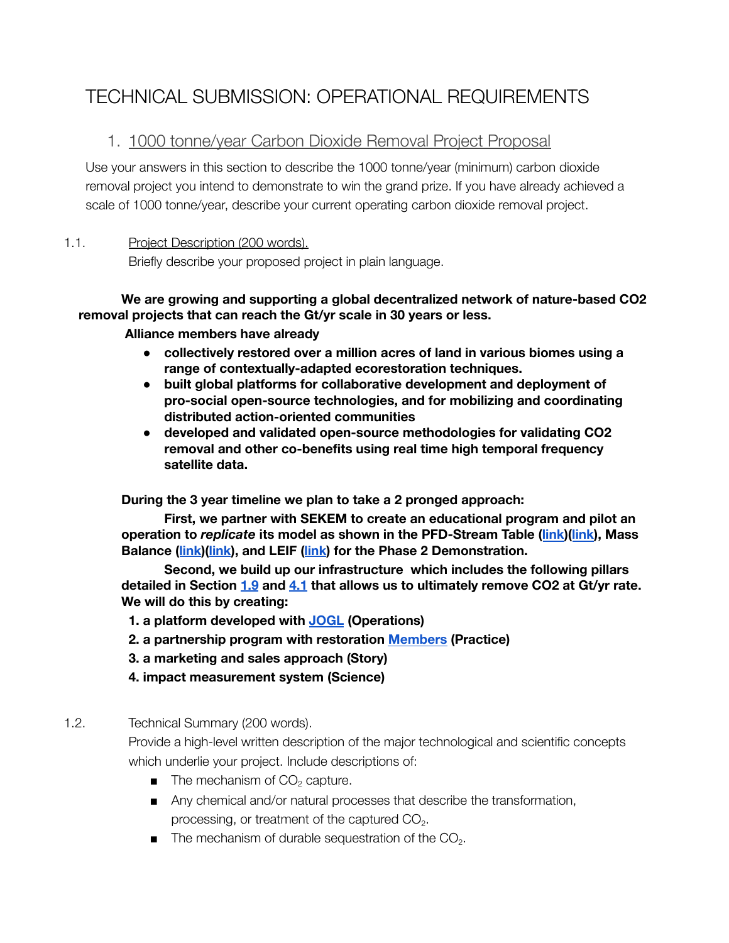## <span id="page-8-0"></span>TECHNICAL SUBMISSION: OPERATIONAL REQUIREMENTS

## <span id="page-8-1"></span>1. 1000 tonne/year Carbon Dioxide Removal Project Proposal

Use your answers in this section to describe the 1000 tonne/year (minimum) carbon dioxide removal project you intend to demonstrate to win the grand prize. If you have already achieved a scale of 1000 tonne/year, describe your current operating carbon dioxide removal project.

## 1.1. Project Description (200 words).

Briefly describe your proposed project in plain language.

## **We are growing and supporting a global decentralized network of nature-based CO2 removal projects that can reach the Gt/yr scale in 30 years or less.**

## **Alliance members have already**

- **● collectively restored over a million acres of land in various biomes using a range of contextually-adapted ecorestoration techniques.**
- **● built global platforms for collaborative development and deployment of pro-social open-source technologies, and for mobilizing and coordinating distributed action-oriented communities**
- **● developed and validated open-source methodologies for validating CO2 removal and other co-benefits using real time high temporal frequency satellite data.**

**During the 3 year timeline we plan to take a 2 pronged approach:**

**First, we partner with SEKEM to create an educational program and pilot an operation to** *replicate* **its model as shown in the PFD-Stream Table ([link](https://docs.google.com/spreadsheets/d/1OXnUlmwP2a62kQW79OrDTWpmvW4MGRc4/edit?usp=sharing&ouid=102922428773332994988&rtpof=true&sd=true))([link](https://docs.google.com/spreadsheets/d/1-F09ro6s0gSiJBmhfuO02YywNQL2rbj7/edit?usp=sharing&ouid=102922428773332994988&rtpof=true&sd=true)), Mass Balance ([link](https://docs.google.com/spreadsheets/d/1-F09ro6s0gSiJBmhfuO02YywNQL2rbj7/edit#gid=1903202778&range=A1))([link](https://docs.google.com/spreadsheets/d/1OXnUlmwP2a62kQW79OrDTWpmvW4MGRc4/edit#gid=1903202778&range=A1)), and LEIF ([link](https://docs.google.com/spreadsheets/d/1vvqj3X59RQeakE-cUB2CoPGFghyKndsh/edit?usp=sharing&ouid=102922428773332994988&rtpof=true&sd=true)) for the Phase 2 Demonstration.**

**Second, we build up our infrastructure which includes the following pillars detailed in Section [1.9](#page-11-0) and [4.1](#page-19-2) that allows us to ultimately remove CO2 at Gt/yr rate. We will do this by creating:**

- **1. a platform developed with [JOGL](http://jogl.io) (Operations)**
- **2. a partnership program with restoration [Members](https://docs.google.com/spreadsheets/u/0/d/1c1pXD7pa5Iy-C1Lg1FpQPUsEZmhx4k1DNKeGXuJC6s4/edit) (Practice)**
- **3. a marketing and sales approach (Story)**
- **4. impact measurement system (Science)**

## 1.2. Technical Summary (200 words).

Provide a high-level written description of the major technological and scientific concepts which underlie your project. Include descriptions of:

- $\blacksquare$  The mechanism of  $CO<sub>2</sub>$  capture.
- Any chemical and/or natural processes that describe the transformation, processing, or treatment of the captured  $CO<sub>2</sub>$ .
- $\blacksquare$  The mechanism of durable sequestration of the CO<sub>2</sub>.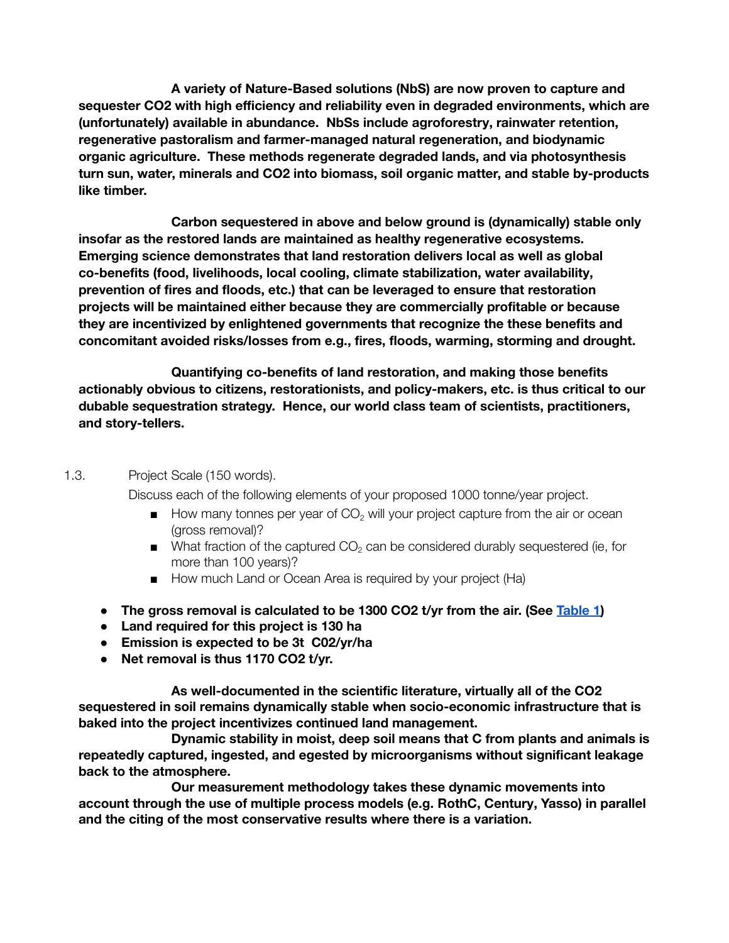**A variety of Nature-Based solutions (NbS) are now proven to capture and sequester CO2 with high efficiency and reliability even in degraded environments, which are (unfortunately) available in abundance. NbSs include agroforestry, rainwater retention, regenerative pastoralism and farmer-managed natural regeneration, and biodynamic organic agriculture. These methods regenerate degraded lands, and via photosynthesis turn sun, water, minerals and CO2 into biomass, soil organic matter, and stable by-products like timber.**

**Carbon sequestered in above and below ground is (dynamically) stable only insofar as the restored lands are maintained as healthy regenerative ecosystems. Emerging science demonstrates that land restoration delivers local as well as global co-benefits (food, livelihoods, local cooling, climate stabilization, water availability, prevention of fires and floods, etc.) that can be leveraged to ensure that restoration projects will be maintained either because they are commercially profitable or because they are incentivized by enlightened governments that recognize the these benefits and concomitant avoided risks/losses from e.g., fires, floods, warming, storming and drought.**

**Quantifying co-benefits of land restoration, and making those benefits actionably obvious to citizens, restorationists, and policy-makers, etc. is thus critical to our dubable sequestration strategy. Hence, our world class team of scientists, practitioners, and story-tellers.**

### 1.3. Project Scale (150 words).

Discuss each of the following elements of your proposed 1000 tonne/year project.

- $\blacksquare$  How many tonnes per year of CO<sub>2</sub> will your project capture from the air or ocean (gross removal)?
- $\blacksquare$  What fraction of the captured CO<sub>2</sub> can be considered durably sequestered (ie, for more than 100 years)?
- How much Land or Ocean Area is required by your project (Ha)
- **● The gross removal is calculated to be 1300 CO2 t/yr from the air. (See [Table](https://docs.google.com/document/d/10TGpGXY-r_aAa_Nf_Hf7Dp-XgLFQLBtnw1OPiK6PYHk/edit?usp=sharing) 1)**
- **● Land required for this project is 130 ha**
- **● Emission is expected to be 3t C02/yr/ha**
- **● Net removal is thus 1170 CO2 t/yr.**

**As well-documented in the scientific literature, virtually all of the CO2 sequestered in soil remains dynamically stable when socio-economic infrastructure that is baked into the project incentivizes continued land management.**

**Dynamic stability in moist, deep soil means that C from plants and animals is repeatedly captured, ingested, and egested by microorganisms without significant leakage back to the atmosphere.**

**Our measurement methodology takes these dynamic movements into account through the use of multiple process models (e.g. RothC, Century, Yasso) in parallel and the citing of the most conservative results where there is a variation.**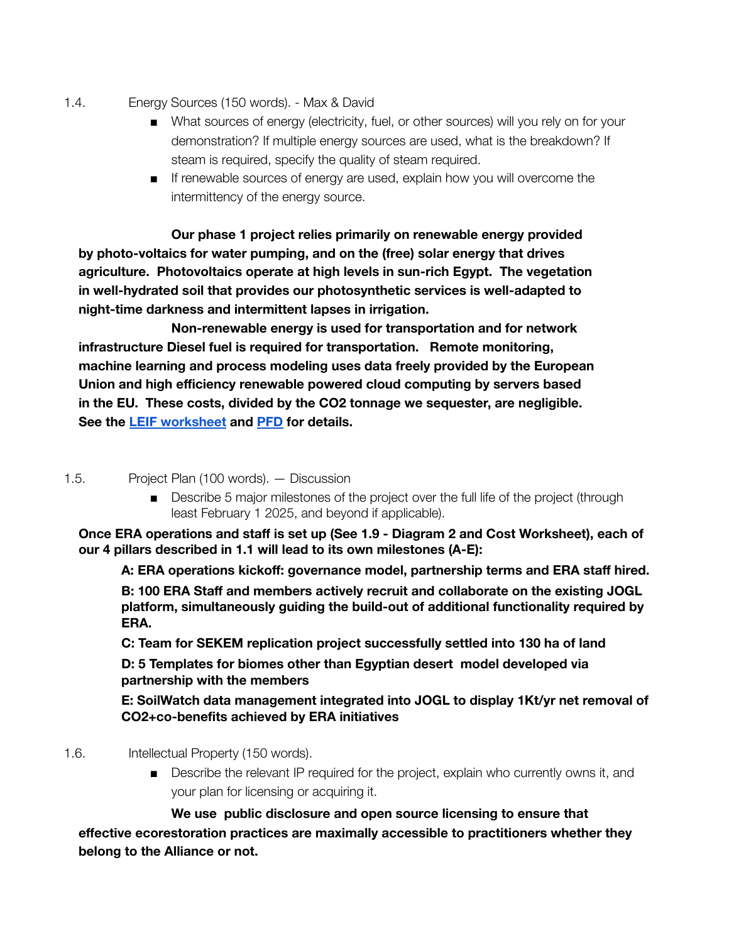- 1.4. Energy Sources (150 words). Max & David
	- What sources of energy (electricity, fuel, or other sources) will you rely on for your demonstration? If multiple energy sources are used, what is the breakdown? If steam is required, specify the quality of steam required.
	- If renewable sources of energy are used, explain how you will overcome the intermittency of the energy source.

**Our phase 1 project relies primarily on renewable energy provided by photo-voltaics for water pumping, and on the (free) solar energy that drives agriculture. Photovoltaics operate at high levels in sun-rich Egypt. The vegetation in well-hydrated soil that provides our photosynthetic services is well-adapted to night-time darkness and intermittent lapses in irrigation.**

**Non-renewable energy is used for transportation and for network infrastructure Diesel fuel is required for transportation. Remote monitoring, machine learning and process modeling uses data freely provided by the European Union and high efficiency renewable powered cloud computing by servers based in the EU. These costs, divided by the CO2 tonnage we sequester, are negligible. See the LEIF [worksheet](https://docs.google.com/spreadsheets/d/1vvqj3X59RQeakE-cUB2CoPGFghyKndsh/edit?usp=sharing&ouid=102922428773332994988&rtpof=true&sd=true) and [PFD](https://docs.google.com/spreadsheets/d/1-F09ro6s0gSiJBmhfuO02YywNQL2rbj7/edit?usp=sharing&ouid=102922428773332994988&rtpof=true&sd=true) for details.**

### 1.5. Project Plan (100 words). — Discussion

■ Describe 5 major milestones of the project over the full life of the project (through least February 1 2025, and beyond if applicable).

**Once ERA operations and staff is set up (See 1.9 - Diagram 2 and Cost Worksheet), each of our 4 pillars described in 1.1 will lead to its own milestones (A-E):**

**A: ERA operations kickoff: governance model, partnership terms and ERA staff hired.**

**B: 100 ERA Staff and members actively recruit and collaborate on the existing JOGL platform, simultaneously guiding the build-out of additional functionality required by ERA.**

**C: Team for SEKEM replication project successfully settled into 130 ha of land**

**D: 5 Templates for biomes other than Egyptian desert model developed via partnership with the members**

**E: SoilWatch data management integrated into JOGL to display 1Kt/yr net removal of CO2+co-benefits achieved by ERA initiatives**

- 1.6. Intellectual Property (150 words).
	- Describe the relevant IP required for the project, explain who currently owns it, and your plan for licensing or acquiring it.

**We use public disclosure and open source licensing to ensure that effective ecorestoration practices are maximally accessible to practitioners whether they belong to the Alliance or not.**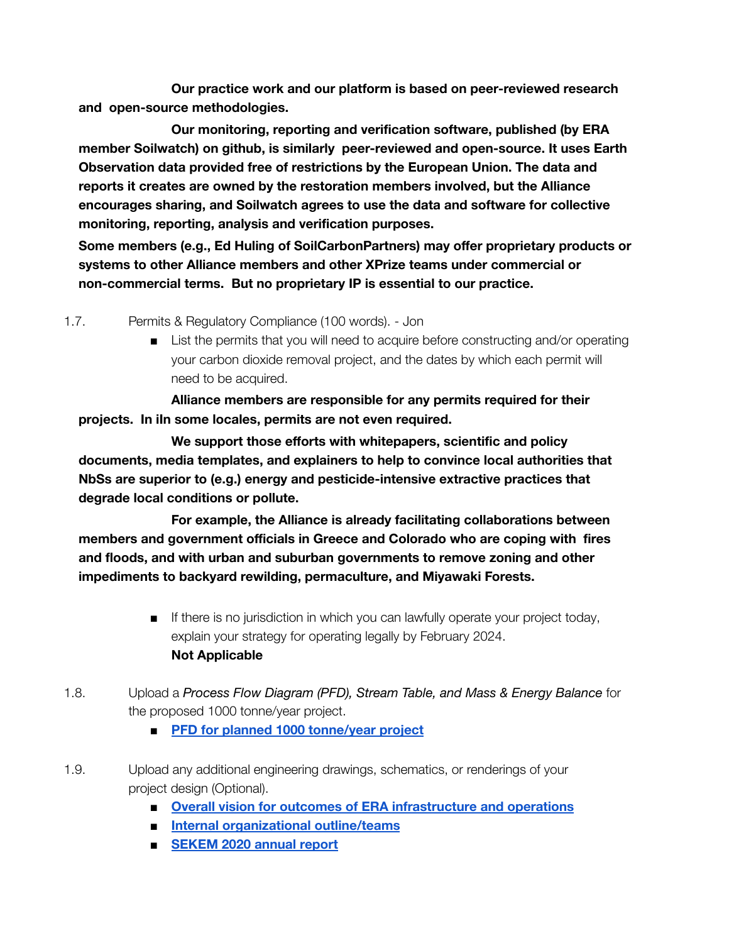**Our practice work and our platform is based on peer-reviewed research and open-source methodologies.**

**Our monitoring, reporting and verification software, published (by ERA member Soilwatch) on github, is similarly peer-reviewed and open-source. It uses Earth Observation data provided free of restrictions by the European Union. The data and reports it creates are owned by the restoration members involved, but the Alliance encourages sharing, and Soilwatch agrees to use the data and software for collective monitoring, reporting, analysis and verification purposes.**

**Some members (e.g., Ed Huling of SoilCarbonPartners) may offer proprietary products or systems to other Alliance members and other XPrize teams under commercial or non-commercial terms. But no proprietary IP is essential to our practice.**

1.7. Permits & Regulatory Compliance (100 words). - Jon

■ List the permits that you will need to acquire before constructing and/or operating your carbon dioxide removal project, and the dates by which each permit will need to be acquired.

**Alliance members are responsible for any permits required for their projects. In iIn some locales, permits are not even required.**

**We support those efforts with whitepapers, scientific and policy documents, media templates, and explainers to help to convince local authorities that NbSs are superior to (e.g.) energy and pesticide-intensive extractive practices that degrade local conditions or pollute.**

**For example, the Alliance is already facilitating collaborations between members and government officials in Greece and Colorado who are coping with fires and floods, and with urban and suburban governments to remove zoning and other impediments to backyard rewilding, permaculture, and Miyawaki Forests.**

- If there is no jurisdiction in which you can lawfully operate your project today, explain your strategy for operating legally by February 2024. **Not Applicable**
- 1.8. Upload a *Process Flow Diagram (PFD), Stream Table, and Mass & Energy Balance* for the proposed 1000 tonne/year project.
	- **■ PFD for planned 1000 [tonne/year](https://docs.google.com/spreadsheets/d/1OXnUlmwP2a62kQW79OrDTWpmvW4MGRc4/edit?usp=sharing&ouid=116726501268293682738&rtpof=true&sd=true) project**
- <span id="page-11-0"></span>1.9. Upload any additional engineering drawings, schematics, or renderings of your project design (Optional).
	- **■ Overall vision for outcomes of ERA [infrastructure](https://docs.google.com/presentation/d/1qkOM8a3vpsm5RU9zU7QU_ukx_Y4NMQnNa5n_Pu2u8ro/edit?usp=sharing) and operations**
	- **■ Internal [organizational](https://drive.google.com/file/d/1nilHCHMq5DudVFASMAnQYZom4_Ew1Ytb/view?usp=sharing) outline/teams**
	- **■ [SEKEM](https://drive.google.com/drive/u/0/folders/1RnbtEa4K2K3S86W7PKVUjBUNBJh_VY5H) 2020 annual report**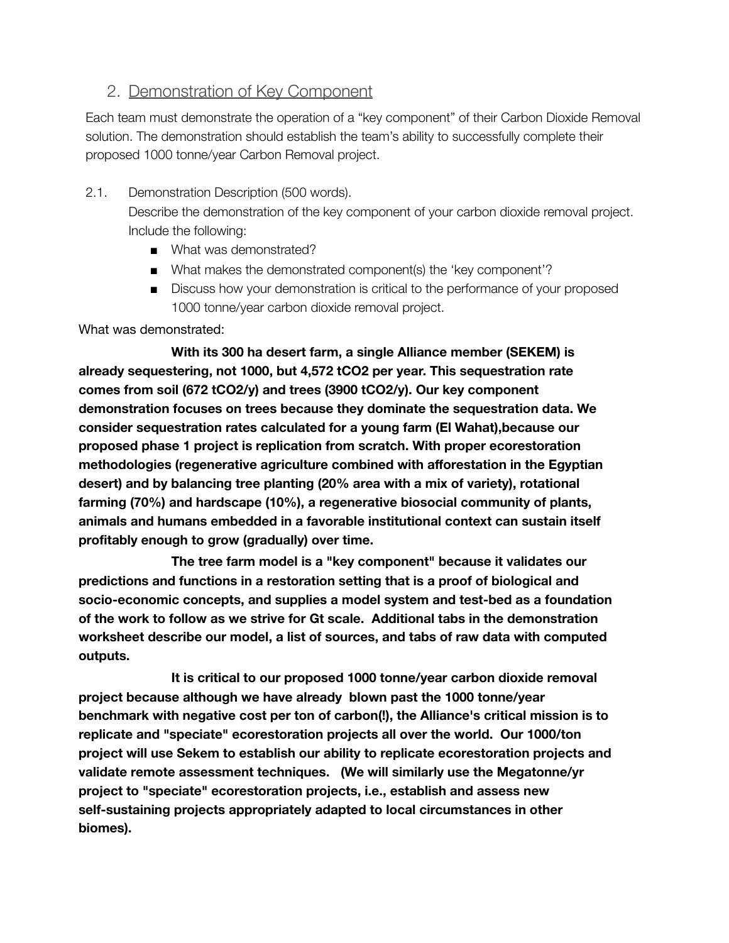## <span id="page-12-0"></span>2. Demonstration of Key Component

Each team must demonstrate the operation of a "key component" of their Carbon Dioxide Removal solution. The demonstration should establish the team's ability to successfully complete their proposed 1000 tonne/year Carbon Removal project.

- 2.1. Demonstration Description (500 words). Describe the demonstration of the key component of your carbon dioxide removal project. Include the following:
	- What was demonstrated?
	- What makes the demonstrated component(s) the 'key component'?
	- Discuss how your demonstration is critical to the performance of your proposed 1000 tonne/year carbon dioxide removal project.

What was demonstrated:

**With its 300 ha desert farm, a single Alliance member (SEKEM) is already sequestering, not 1000, but 4,572 tCO2 per year. This sequestration rate comes from soil (672 tCO2/y) and trees (3900 tCO2/y). Our key component demonstration focuses on trees because they dominate the sequestration data. We consider sequestration rates calculated for a young farm (El Wahat),because our proposed phase 1 project is replication from scratch. With proper ecorestoration methodologies (regenerative agriculture combined with afforestation in the Egyptian desert) and by balancing tree planting (20% area with a mix of variety), rotational farming (70%) and hardscape (10%), a regenerative biosocial community of plants, animals and humans embedded in a favorable institutional context can sustain itself profitably enough to grow (gradually) over time.**

**The tree farm model is a "key component" because it validates our predictions and functions in a restoration setting that is a proof of biological and socio-economic concepts, and supplies a model system and test-bed as a foundation of the work to follow as we strive for Gt scale. Additional tabs in the demonstration worksheet describe our model, a list of sources, and tabs of raw data with computed outputs.**

**It is critical to our proposed 1000 tonne/year carbon dioxide removal project because although we have already blown past the 1000 tonne/year benchmark with negative cost per ton of carbon(!), the Alliance's critical mission is to replicate and "speciate" ecorestoration projects all over the world. Our 1000/ton project will use Sekem to establish our ability to replicate ecorestoration projects and validate remote assessment techniques. (We will similarly use the Megatonne/yr project to "speciate" ecorestoration projects, i.e., establish and assess new self-sustaining projects appropriately adapted to local circumstances in other biomes).**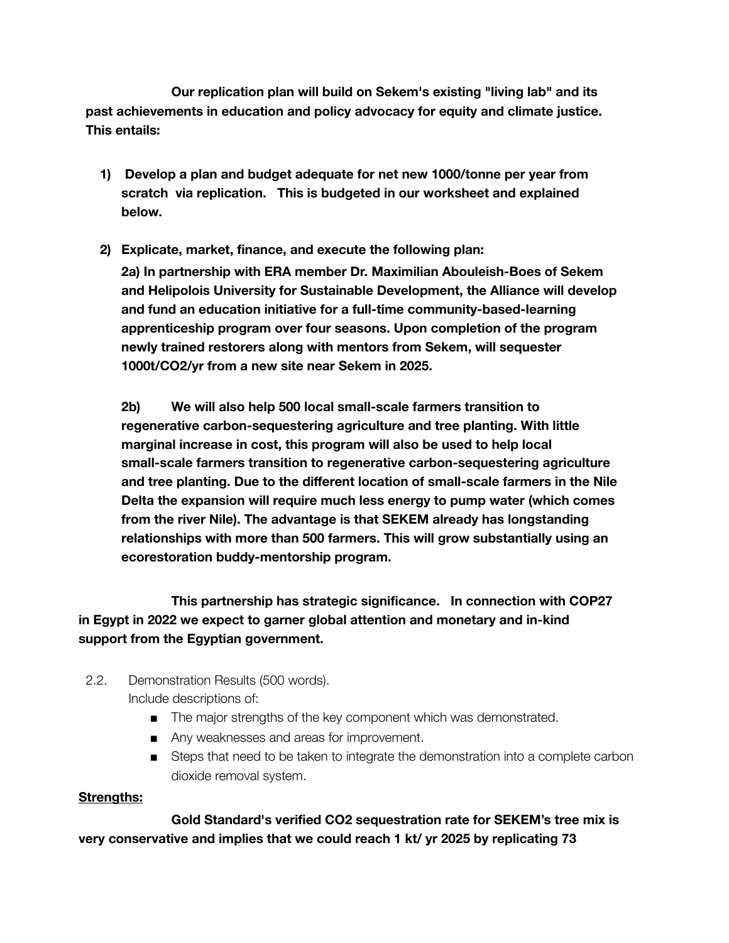**Our replication plan will build on Sekem's existing "living lab" and its past achievements in education and policy advocacy for equity and climate justice. This entails:**

- **1) Develop a plan and budget adequate for net new 1000/tonne per year from scratch via replication. This is budgeted in our worksheet and explained below.**
- **2) Explicate, market, finance, and execute the following plan: 2a) In partnership with ERA member Dr. Maximilian Abouleish-Boes of Sekem and Helipolois University for Sustainable Development, the Alliance will develop and fund an education initiative for a full-time community-based-learning apprenticeship program over four seasons. Upon completion of the program newly trained restorers along with mentors from Sekem, will sequester 1000t/CO2/yr from a new site near Sekem in 2025.**

**2b) We will also help 500 local small-scale farmers transition to regenerative carbon-sequestering agriculture and tree planting. With little marginal increase in cost, this program will also be used to help local small-scale farmers transition to regenerative carbon-sequestering agriculture and tree planting. Due to the different location of small-scale farmers in the Nile Delta the expansion will require much less energy to pump water (which comes from the river Nile). The advantage is that SEKEM already has longstanding relationships with more than 500 farmers. This will grow substantially using an ecorestoration buddy-mentorship program.**

**This partnership has strategic significance. In connection with COP27 in Egypt in 2022 we expect to garner global attention and monetary and in-kind support from the Egyptian government.**

- 2.2. Demonstration Results (500 words). Include descriptions of:
	- The major strengths of the key component which was demonstrated.
	- Any weaknesses and areas for improvement.
	- Steps that need to be taken to integrate the demonstration into a complete carbon dioxide removal system.

## **Strengths:**

**Gold Standard's verified CO2 sequestration rate for SEKEM's tree mix is very conservative and implies that we could reach 1 kt/ yr 2025 by replicating 73**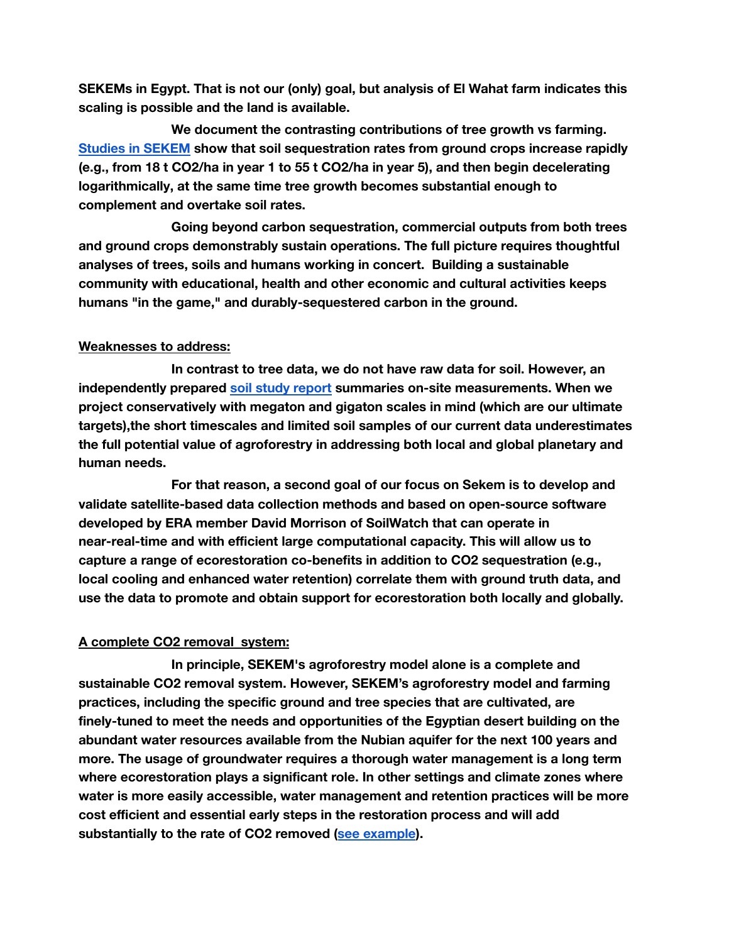**SEKEMs in Egypt. That is not our (only) goal, but analysis of El Wahat farm indicates this scaling is possible and the land is available.**

**We document the contrasting contributions of tree growth vs farming. Studies in [SEKEM](https://drive.google.com/drive/u/0/folders/1a88Es2tmQYFQtSb2uSYw22HsvPrkwqyy) show that soil sequestration rates from ground crops increase rapidly (e.g., from 18 t CO2/ha in year 1 to 55 t CO2/ha in year 5), and then begin decelerating logarithmically, at the same time tree growth becomes substantial enough to complement and overtake soil rates.**

**Going beyond carbon sequestration, commercial outputs from both trees and ground crops demonstrably sustain operations. The full picture requires thoughtful analyses of trees, soils and humans working in concert. Building a sustainable community with educational, health and other economic and cultural activities keeps humans "in the game," and durably-sequestered carbon in the ground.**

### **Weaknesses to address:**

**In contrast to tree data, we do not have raw data for soil. However, an independently prepared soil study [report](https://docs.google.com/document/u/0/d/1-GJCrvD1C6VIRm1CDEY-8VVE2A7pHXMROqVV2Icl3xM/edit) summaries on-site measurements. When we project conservatively with megaton and gigaton scales in mind (which are our ultimate targets),the short timescales and limited soil samples of our current data underestimates the full potential value of agroforestry in addressing both local and global planetary and human needs.**

**For that reason, a second goal of our focus on Sekem is to develop and validate satellite-based data collection methods and based on open-source software developed by ERA member David Morrison of SoilWatch that can operate in near-real-time and with efficient large computational capacity. This will allow us to capture a range of ecorestoration co-benefits in addition to CO2 sequestration (e.g., local cooling and enhanced water retention) correlate them with ground truth data, and use the data to promote and obtain support for ecorestoration both locally and globally.**

## **A complete CO2 removal system:**

**In principle, SEKEM's agroforestry model alone is a complete and sustainable CO2 removal system. However, SEKEM's agroforestry model and farming practices, including the specific ground and tree species that are cultivated, are finely-tuned to meet the needs and opportunities of the Egyptian desert building on the abundant water resources available from the Nubian aquifer for the next 100 years and more. The usage of groundwater requires a thorough water management is a long term where ecorestoration plays a significant role. In other settings and climate zones where water is more easily accessible, water management and retention practices will be more cost efficient and essential early steps in the restoration process and will add substantially to the rate of CO2 removed (see [example](https://www.sim4nexus.eu/userfiles/Landscape_restoration_policy_bri.pdf)).**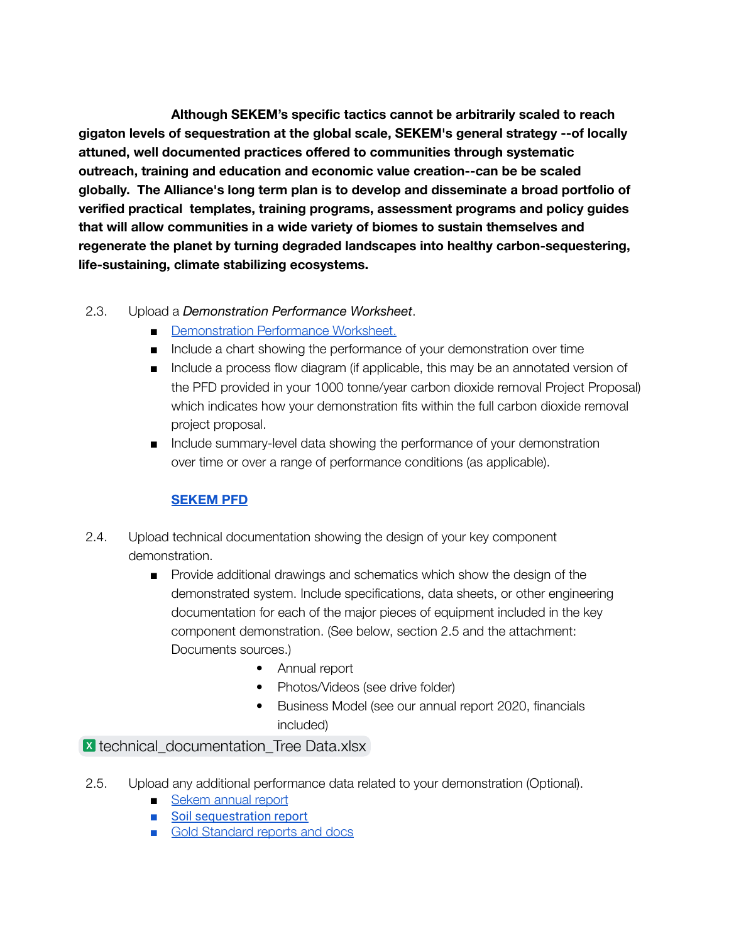**Although SEKEM's specific tactics cannot be arbitrarily scaled to reach gigaton levels of sequestration at the global scale, SEKEM's general strategy --of locally attuned, well documented practices offered to communities through systematic outreach, training and education and economic value creation--can be be scaled globally. The Alliance's long term plan is to develop and disseminate a broad portfolio of verified practical templates, training programs, assessment programs and policy guides that will allow communities in a wide variety of biomes to sustain themselves and regenerate the planet by turning degraded landscapes into healthy carbon-sequestering, life-sustaining, climate stabilizing ecosystems.**

## 2.3. Upload a *Demonstration Performance Worksheet*.

- [Demonstration](https://docs.google.com/spreadsheets/d/1efzsP71UsavijpBUq8xcjW_Io_H8cgq7/edit#gid=209089781) Performance Worksheet.
- Include a chart showing the performance of your demonstration over time
- Include a process flow diagram (if applicable, this may be an annotated version of the PFD provided in your 1000 tonne/year carbon dioxide removal Project Proposal) which indicates how your demonstration fits within the full carbon dioxide removal project proposal.
- Include summary-level data showing the performance of your demonstration over time or over a range of performance conditions (as applicable).

## **[SEKEM](https://docs.google.com/spreadsheets/d/1OXnUlmwP2a62kQW79OrDTWpmvW4MGRc4/edit?usp=sharing&ouid=102922428773332994988&rtpof=true&sd=true) PFD**

- 2.4. Upload technical documentation showing the design of your key component demonstration.
	- Provide additional drawings and schematics which show the design of the demonstrated system. Include specifications, data sheets, or other engineering documentation for each of the major pieces of equipment included in the key component demonstration. (See below, section 2.5 and the attachment: Documents sources.)
		- Annual report
		- Photos/Videos (see drive folder)
		- Business Model (see our annual report 2020, financials included)

## **x** technical documentation Tree Data.xlsx

- 2.5. Upload any additional performance data related to your demonstration (Optional).
	- [Sekem](https://drive.google.com/file/d/15BqH5i0K22M-yMMm7xdj3Qmfy2aQysI-/view?usp=sharing) annual report
	- [Soil sequestration report](https://drive.google.com/open?id=1pE10pNpdHUNDkLKnqjfTYRjyhCf6wAf1)
	- Gold Standard reports and docs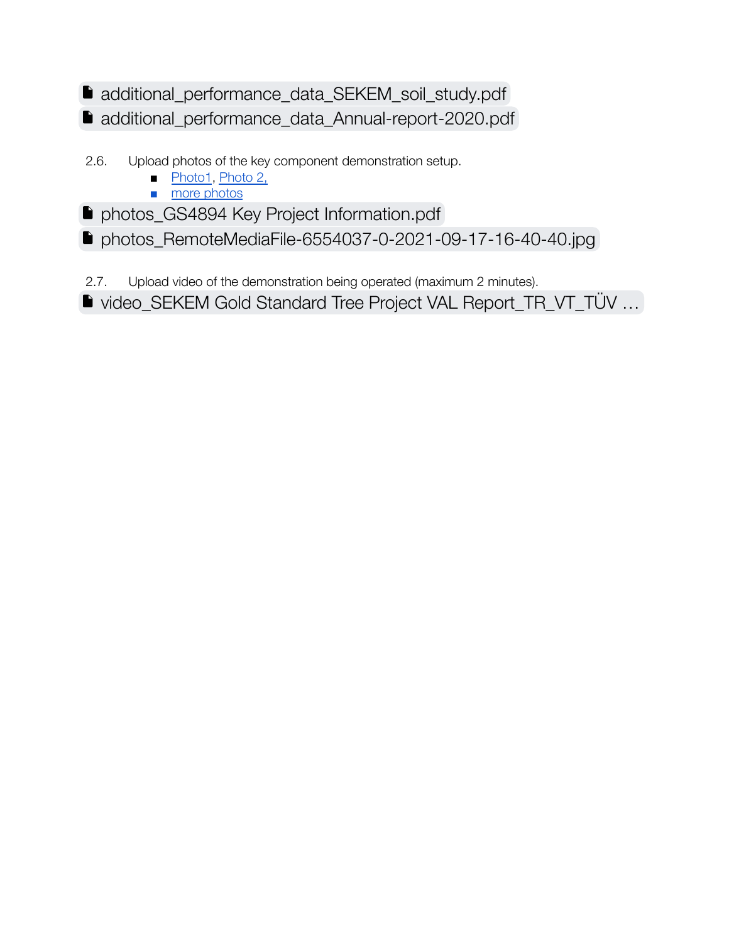## [additional\\_performance\\_data\\_SEKEM\\_soil\\_study.pdf](https://drive.google.com/file/d/1oKChgU5Ujss9yqY7shZtgcjZfpNBbHXP/view?usp=sharing) [additional\\_performance\\_data\\_Annual-report-2020.pdf](https://drive.google.com/file/d/1LWvOpYKzZ5GGKgtQnpL1pSj6zChMY_Sr/view?usp=sharing)

- 2.6. Upload photos of the key component demonstration setup.
	- [Photo1](https://drive.google.com/file/d/1wmChD8F6LvlAfU34LQgWuuzADAZiVisE/view?usp=sharing), [Photo](https://drive.google.com/file/d/1tpLSWAgXHWGK0Dk88MYDeIbc9cp2GCk4/view?usp=sharing) 2,
	- more [photos](https://drive.google.com/drive/folders/13SUSrh7OHrAkXg8ftaDxJywQg2IFoR7E?usp=sharing)
- **P** [photos\\_GS4894 Key Project Information.pdf](https://drive.google.com/file/d/13RvtguEd5MaOWD2TB2UdqXRisytLu9GU/view?usp=sharing)
- [photos\\_RemoteMediaFile-6554037-0-2021-09-17-16-40-40.jpg](https://drive.google.com/file/d/16ebp-FME7Bb5gchTLtXSrTrmIQnN5Hn2/view?usp=sharing)
- 2.7. Upload video of the demonstration being operated (maximum 2 minutes).
- video\_SEKEM Gold Standard Tree Project VAL Report\_TR\_VT\_TÜV ...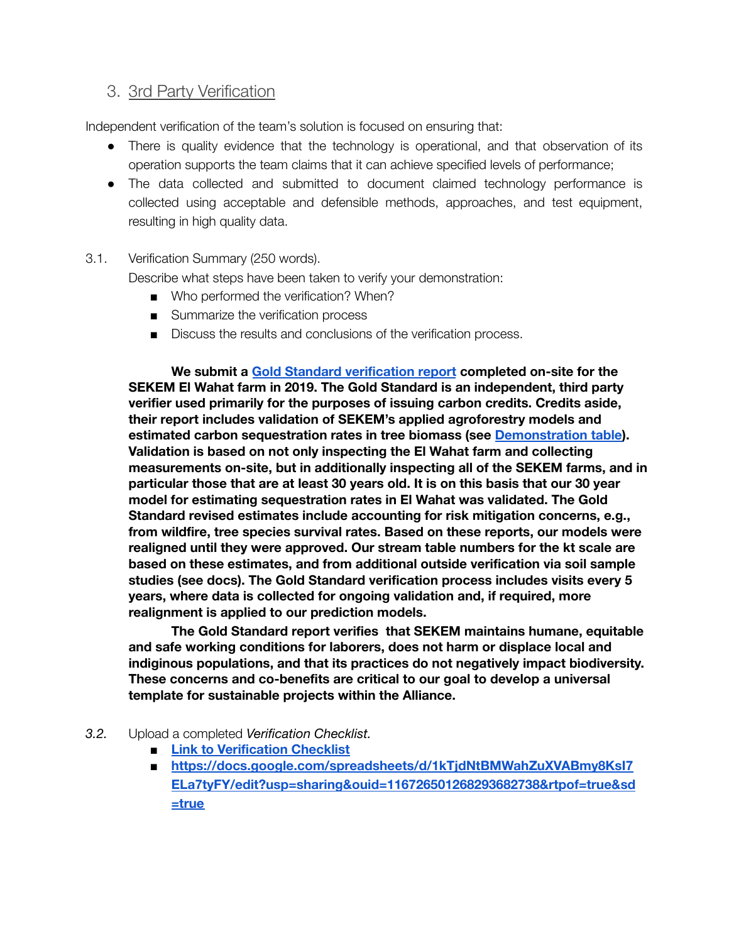## <span id="page-17-0"></span>3. 3rd Party Verification

Independent verification of the team's solution is focused on ensuring that:

- There is quality evidence that the technology is operational, and that observation of its operation supports the team claims that it can achieve specified levels of performance;
- The data collected and submitted to document claimed technology performance is collected using acceptable and defensible methods, approaches, and test equipment, resulting in high quality data.

### 3.1. Verification Summary (250 words).

Describe what steps have been taken to verify your demonstration:

- Who performed the verification? When?
- Summarize the verification process
- Discuss the results and conclusions of the verification process.

**We submit a Gold Standard [verification](https://drive.google.com/drive/u/0/folders/1a88Es2tmQYFQtSb2uSYw22HsvPrkwqyy) report completed on-site for the SEKEM El Wahat farm in 2019. The Gold Standard is an independent, third party verifier used primarily for the purposes of issuing carbon credits. Credits aside, their report includes validation of SEKEM's applied agroforestry models and estimated carbon sequestration rates in tree biomass (see [Demonstration](https://docs.google.com/spreadsheets/d/1efzsP71UsavijpBUq8xcjW_Io_H8cgq7/edit#gid=209089781) table). Validation is based on not only inspecting the El Wahat farm and collecting measurements on-site, but in additionally inspecting all of the SEKEM farms, and in particular those that are at least 30 years old. It is on this basis that our 30 year model for estimating sequestration rates in El Wahat was validated. The Gold Standard revised estimates include accounting for risk mitigation concerns, e.g., from wildfire, tree species survival rates. Based on these reports, our models were realigned until they were approved. Our stream table numbers for the kt scale are based on these estimates, and from additional outside verification via soil sample studies (see docs). The Gold Standard verification process includes visits every 5 years, where data is collected for ongoing validation and, if required, more realignment is applied to our prediction models.**

**The Gold Standard report verifies that SEKEM maintains humane, equitable and safe working conditions for laborers, does not harm or displace local and indiginous populations, and that its practices do not negatively impact biodiversity. These concerns and co-benefits are critical to our goal to develop a universal template for sustainable projects within the Alliance.**

### *3.2.* Upload a completed *Verification Checklist.*

- **■ Link to [Verification](https://docs.google.com/spreadsheets/d/1kTjdNtBMWahZuXVABmy8KsI7ELa7tyFY/edit?usp=sharing&ouid=116726501268293682738&rtpof=true&sd=true) Checklist**
- **■ https://docs.google.com/spreadsheets/d/1kTjdNtBMWahZuXVABmy8KsI7 ELa7tyFY/edit?usp=sharing&ouid=116726501268293682738&rtpof=true&sd =true**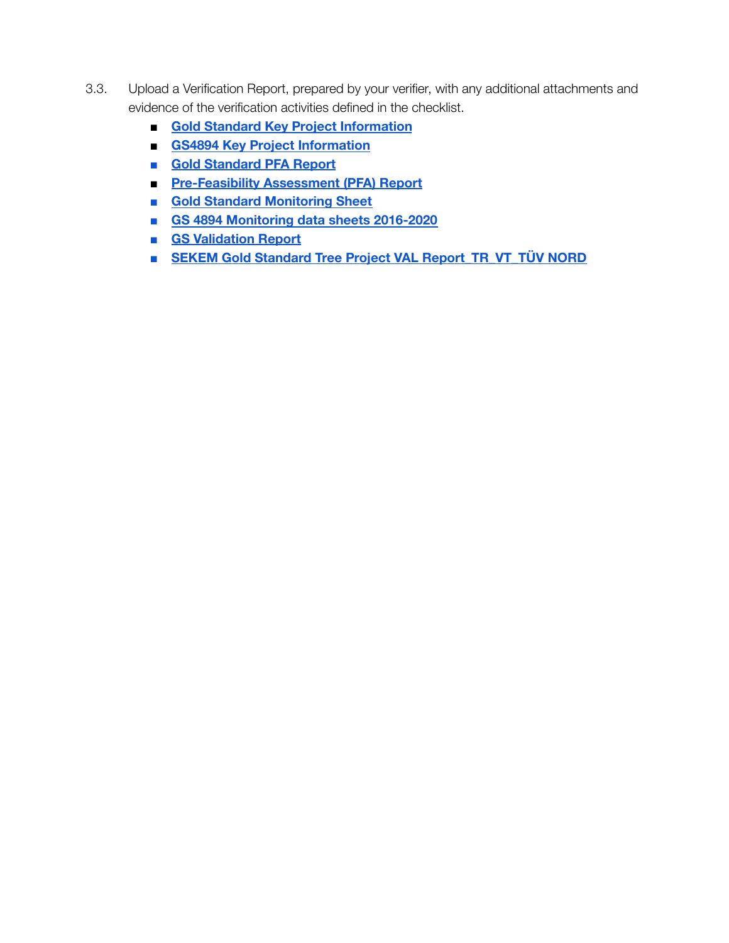- 3.3. Upload a Verification Report, prepared by your verifier, with any additional attachments and evidence of the verification activities defined in the checklist.
	- **■ Gold Standard Key Project [Information](https://drive.google.com/file/d/1-IEiDQbviFod1yCXETxyBTMfw-DXrTU0/view?usp=sharing)**
	- **■ GS4894 Key Project [Information](https://drive.google.com/file/d/1-IEiDQbviFod1yCXETxyBTMfw-DXrTU0/view?usp=sharing)**
	- **■ Gold [Standard](https://drive.google.com/file/d/1rYtRgv7I2npwJ8zudWOMYCFBAkF9Fh1C/view?usp=sharing) PFA Report**
	- **■ [Pre-Feasibility](https://drive.google.com/file/d/1rYtRgv7I2npwJ8zudWOMYCFBAkF9Fh1C/view?usp=sharing) Assessment (PFA) Report**
	- **■ Gold Standard [Monitoring](https://docs.google.com/spreadsheets/d/1CkJE7JjqprAgooNQsqktyvkIKnxFjm9F/edit?usp=sharing&ouid=109607429211260888131&rtpof=true&sd=true) Sheet**
	- **■ GS 4894 [Monitoring](https://docs.google.com/spreadsheets/d/1CkJE7JjqprAgooNQsqktyvkIKnxFjm9F/edit?usp=sharing&ouid=109607429211260888131&rtpof=true&sd=true) data sheets 2016-2020**
	- **■ GS [Validation](https://drive.google.com/file/d/1rUWSc9TglYX26JA1Bz4zJWwlkzZDWMUt/view?usp=sharing) Report**
	- **■ SEKEM Gold Standard Tree Project VAL [Report\\_TR\\_VT\\_TÜV](https://drive.google.com/file/d/1rUWSc9TglYX26JA1Bz4zJWwlkzZDWMUt/view?usp=sharing) NORD**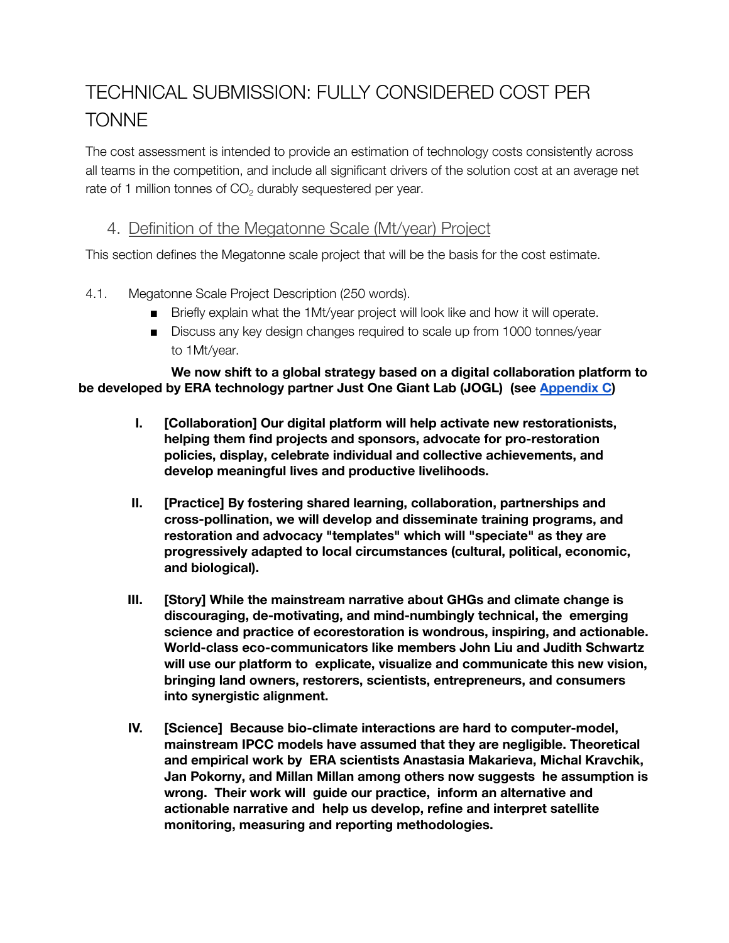## <span id="page-19-0"></span>TECHNICAL SUBMISSION: FULLY CONSIDERED COST PER TONNE

The cost assessment is intended to provide an estimation of technology costs consistently across all teams in the competition, and include all significant drivers of the solution cost at an average net rate of 1 million tonnes of  $CO<sub>2</sub>$  durably sequestered per year.

## <span id="page-19-1"></span>4. Definition of the Megatonne Scale (Mt/year) Project

This section defines the Megatonne scale project that will be the basis for the cost estimate.

- <span id="page-19-2"></span>4.1. Megatonne Scale Project Description (250 words).
	- Briefly explain what the 1Mt/year project will look like and how it will operate.
	- Discuss any key design changes required to scale up from 1000 tonnes/year to 1Mt/year.

## **We now shift to a global strategy based on a digital collaboration platform to be developed by ERA technology partner Just One Giant Lab (JOGL) (see [Appendix](#page-40-0) C)**

- **I. [Collaboration] Our digital platform will help activate new restorationists, helping them find projects and sponsors, advocate for pro-restoration policies, display, celebrate individual and collective achievements, and develop meaningful lives and productive livelihoods.**
- **II. [Practice] By fostering shared learning, collaboration, partnerships and cross-pollination, we will develop and disseminate training programs, and restoration and advocacy "templates" which will "speciate" as they are progressively adapted to local circumstances (cultural, political, economic, and biological).**
- **III. [Story] While the mainstream narrative about GHGs and climate change is discouraging, de-motivating, and mind-numbingly technical, the emerging science and practice of ecorestoration is wondrous, inspiring, and actionable. World-class eco-communicators like members John Liu and Judith Schwartz will use our platform to explicate, visualize and communicate this new vision, bringing land owners, restorers, scientists, entrepreneurs, and consumers into synergistic alignment.**
- **IV. [Science] Because bio-climate interactions are hard to computer-model, mainstream IPCC models have assumed that they are negligible. Theoretical and empirical work by ERA scientists Anastasia Makarieva, Michal Kravchik, Jan Pokorny, and Millan Millan among others now suggests he assumption is wrong. Their work will guide our practice, inform an alternative and actionable narrative and help us develop, refine and interpret satellite monitoring, measuring and reporting methodologies.**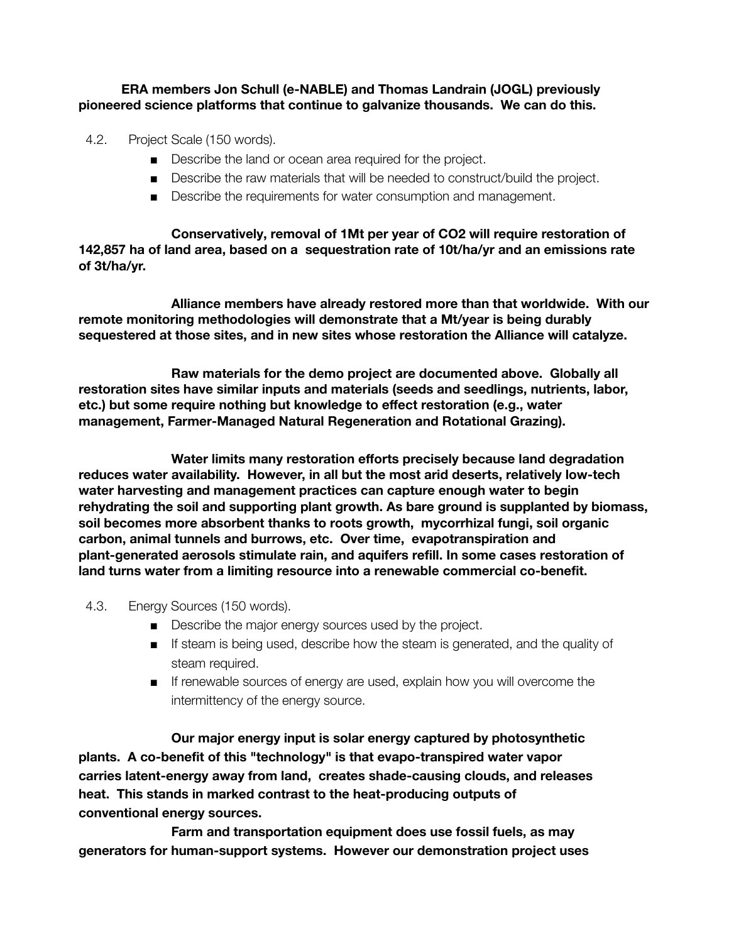### **ERA members Jon Schull (e-NABLE) and Thomas Landrain (JOGL) previously pioneered science platforms that continue to galvanize thousands. We can do this.**

- 4.2. Project Scale (150 words).
	- Describe the land or ocean area required for the project.
	- Describe the raw materials that will be needed to construct/build the project.
	- Describe the requirements for water consumption and management.

**Conservatively, removal of 1Mt per year of CO2 will require restoration of 142,857 ha of land area, based on a sequestration rate of 10t/ha/yr and an emissions rate of 3t/ha/yr.**

**Alliance members have already restored more than that worldwide. With our remote monitoring methodologies will demonstrate that a Mt/year is being durably sequestered at those sites, and in new sites whose restoration the Alliance will catalyze.**

**Raw materials for the demo project are documented above. Globally all restoration sites have similar inputs and materials (seeds and seedlings, nutrients, labor, etc.) but some require nothing but knowledge to effect restoration (e.g., water management, Farmer-Managed Natural Regeneration and Rotational Grazing).**

**Water limits many restoration efforts precisely because land degradation reduces water availability. However, in all but the most arid deserts, relatively low-tech water harvesting and management practices can capture enough water to begin rehydrating the soil and supporting plant growth. As bare ground is supplanted by biomass, soil becomes more absorbent thanks to roots growth, mycorrhizal fungi, soil organic carbon, animal tunnels and burrows, etc. Over time, evapotranspiration and plant-generated aerosols stimulate rain, and aquifers refill. In some cases restoration of land turns water from a limiting resource into a renewable commercial co-benefit.**

### 4.3. Energy Sources (150 words).

- Describe the major energy sources used by the project.
- If steam is being used, describe how the steam is generated, and the quality of steam required.
- If renewable sources of energy are used, explain how you will overcome the intermittency of the energy source.

**Our major energy input is solar energy captured by photosynthetic plants. A co-benefit of this "technology" is that evapo-transpired water vapor carries latent-energy away from land, creates shade-causing clouds, and releases heat. This stands in marked contrast to the heat-producing outputs of conventional energy sources.**

**Farm and transportation equipment does use fossil fuels, as may generators for human-support systems. However our demonstration project uses**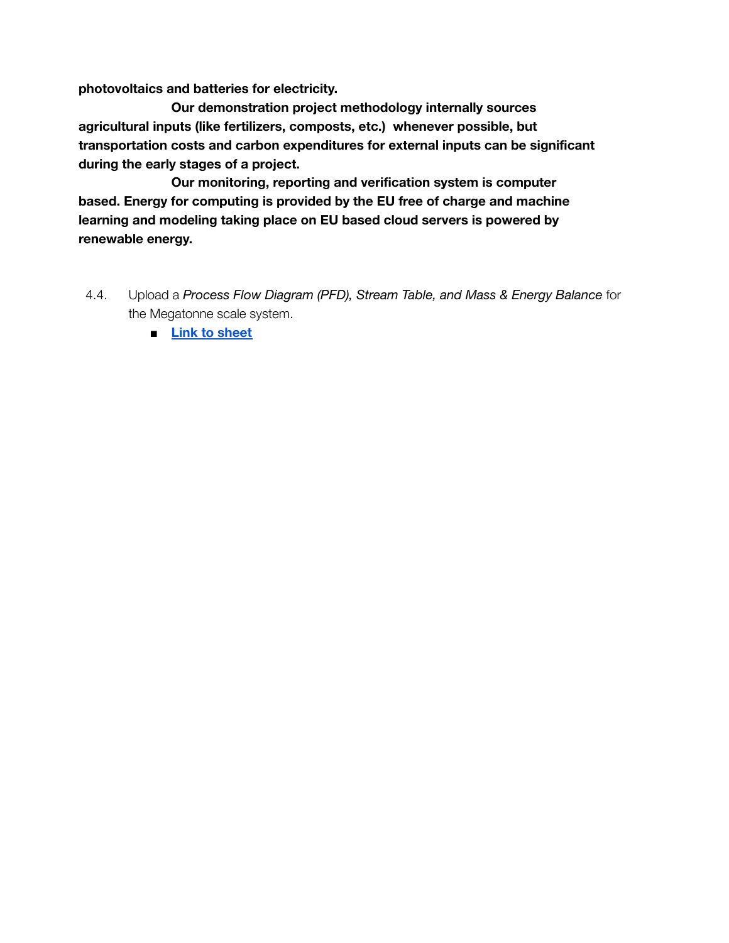**photovoltaics and batteries for electricity.**

**Our demonstration project methodology internally sources agricultural inputs (like fertilizers, composts, etc.) whenever possible, but transportation costs and carbon expenditures for external inputs can be significant during the early stages of a project.**

**Our monitoring, reporting and verification system is computer based. Energy for computing is provided by the EU free of charge and machine learning and modeling taking place on EU based cloud servers is powered by renewable energy.**

- 4.4. Upload a *Process Flow Diagram (PFD), Stream Table, and Mass & Energy Balance* for the Megatonne scale system.
	- **■ Link to [sheet](https://docs.google.com/spreadsheets/d/1-F09ro6s0gSiJBmhfuO02YywNQL2rbj7/edit#gid=1342540358)**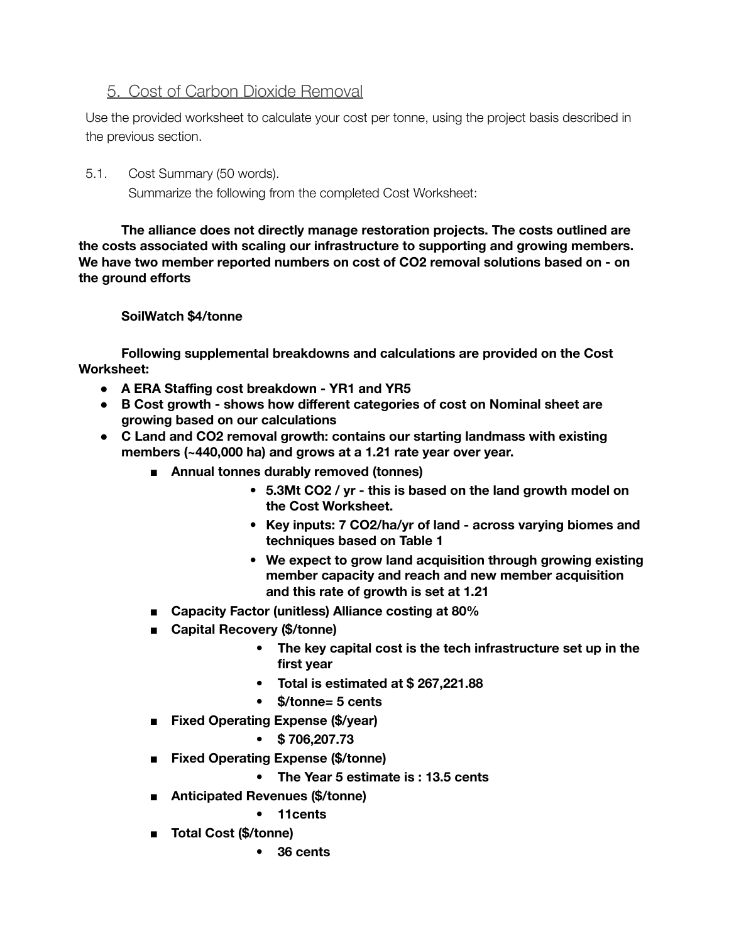## <span id="page-22-0"></span>5. Cost of Carbon Dioxide Removal

Use the provided worksheet to calculate your cost per tonne, using the project basis described in the previous section.

5.1. Cost Summary (50 words). Summarize the following from the completed Cost Worksheet:

**The alliance does not directly manage restoration projects. The costs outlined are the costs associated with scaling our infrastructure to supporting and growing members. We have two member reported numbers on cost of CO2 removal solutions based on - on the ground efforts**

## **SoilWatch \$4/tonne**

**Following supplemental breakdowns and calculations are provided on the Cost Worksheet:**

- **● A ERA Staffing cost breakdown - YR1 and YR5**
- **● B Cost growth - shows how different categories of cost on Nominal sheet are growing based on our calculations**
- **● C Land and CO2 removal growth: contains our starting landmass with existing members (~440,000 ha) and grows at a 1.21 rate year over year.**
	- **■ Annual tonnes durably removed (tonnes)**
		- **5.3Mt CO2 / yr - this is based on the land growth model on the Cost Worksheet.**
		- **Key inputs: 7 CO2/ha/yr of land - across varying biomes and techniques based on Table 1**
		- **We expect to grow land acquisition through growing existing member capacity and reach and new member acquisition and this rate of growth is set at 1.21**
	- **Capacity Factor (unitless) Alliance costing at 80%**
	- **■ Capital Recovery (\$/tonne)**
		- **• The key capital cost is the tech infrastructure set up in the first year**
		- **Total is estimated at \$ 267,221.88**
		- **• \$/tonne= 5 cents**
	- **■ Fixed Operating Expense (\$/year)**
		- **• \$ 706,207.73**
	- **■ Fixed Operating Expense (\$/tonne)**
		- **The Year 5 estimate is : 13.5 cents**
	- **■ Anticipated Revenues (\$/tonne)**
		- **11cents**
	- **■ Total Cost (\$/tonne)**
		- **36 cents**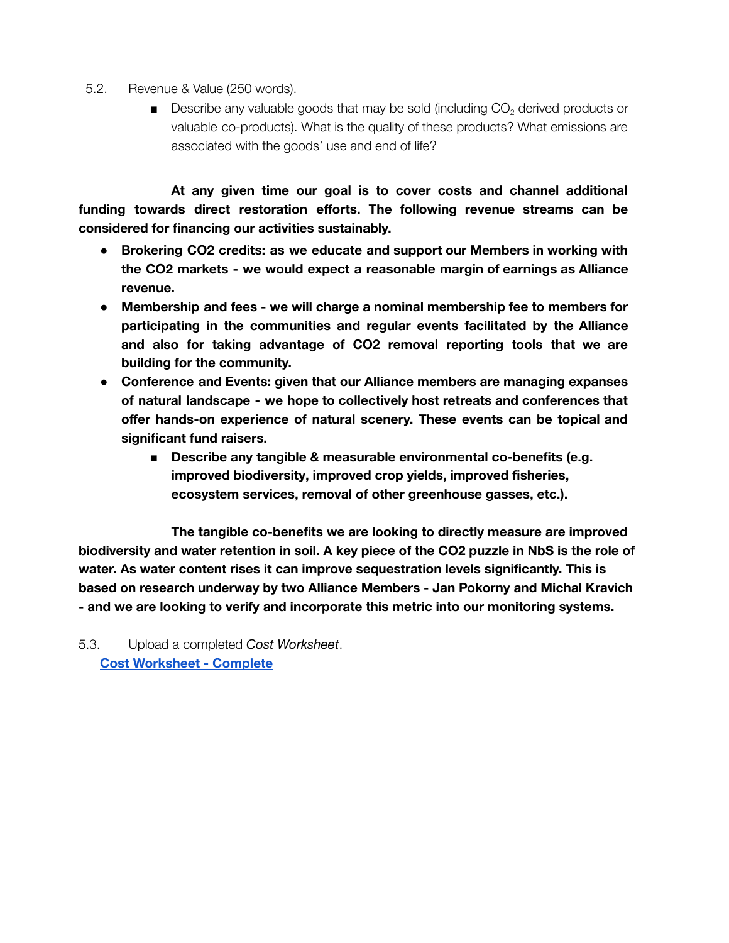- 5.2. Revenue & Value (250 words).
	- **■** Describe any valuable goods that may be sold (including  $CO<sub>2</sub>$  derived products or valuable co-products). What is the quality of these products? What emissions are associated with the goods' use and end of life?

**At any given time our goal is to cover costs and channel additional funding towards direct restoration efforts. The following revenue streams can be considered for financing our activities sustainably.**

- **● Brokering CO2 credits: as we educate and support our Members in working with the CO2 markets - we would expect a reasonable margin of earnings as Alliance revenue.**
- **● Membership and fees - we will charge a nominal membership fee to members for participating in the communities and regular events facilitated by the Alliance and also for taking advantage of CO2 removal reporting tools that we are building for the community.**
- **● Conference and Events: given that our Alliance members are managing expanses of natural landscape - we hope to collectively host retreats and conferences that offer hands-on experience of natural scenery. These events can be topical and significant fund raisers.**
	- **■ Describe any tangible & measurable environmental co-benefits (e.g. improved biodiversity, improved crop yields, improved fisheries, ecosystem services, removal of other greenhouse gasses, etc.).**

**The tangible co-benefits we are looking to directly measure are improved** biodiversity and water retention in soil. A key piece of the CO2 puzzle in NbS is the role of **water. As water content rises it can improve sequestration levels significantly. This is based on research underway by two Alliance Members - Jan Pokorny and Michal Kravich - and we are looking to verify and incorporate this metric into our monitoring systems.**

5.3. Upload a completed *Cost Worksheet*. **Cost [Worksheet](https://docs.google.com/spreadsheets/d/1JsVQeM0tvlYQ0hnJK__FeEY7f9CT1iY1/edit?usp=sharing&ouid=116726501268293682738&rtpof=true&sd=true) - Complete**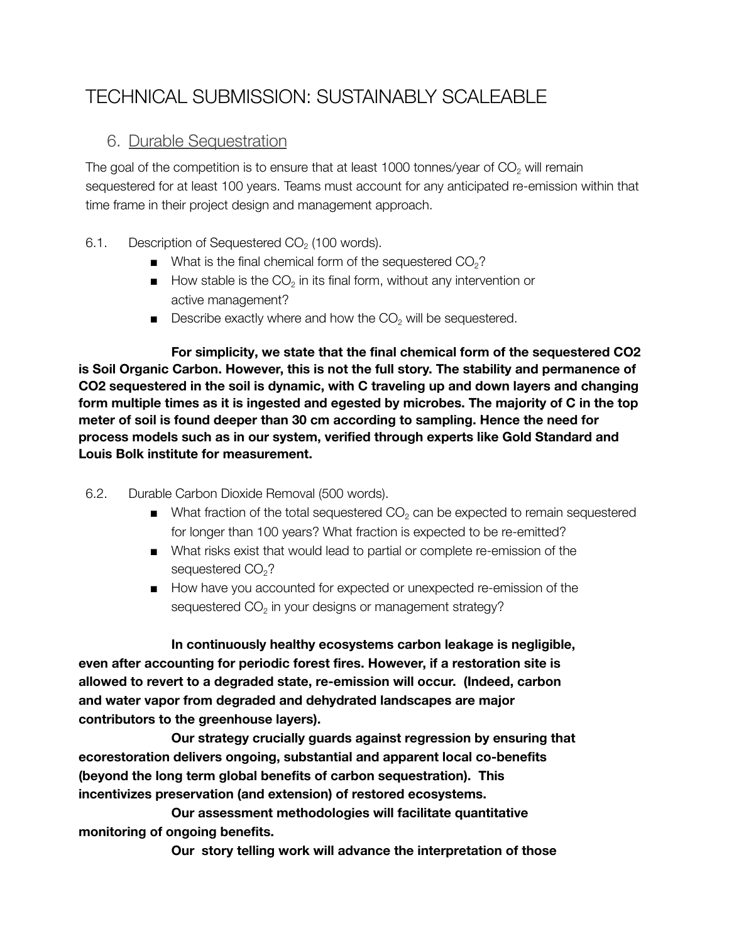## <span id="page-24-0"></span>TECHNICAL SUBMISSION: SUSTAINABLY SCALEABLE

## <span id="page-24-1"></span>6. Durable Sequestration

The goal of the competition is to ensure that at least 1000 tonnes/year of  $CO<sub>2</sub>$  will remain sequestered for at least 100 years. Teams must account for any anticipated re-emission within that time frame in their project design and management approach.

- 6.1. Description of Sequestered  $CO<sub>2</sub>$  (100 words).
	- $\blacksquare$  What is the final chemical form of the sequestered  $CO<sub>2</sub>$ ?
	- $\blacksquare$  How stable is the CO<sub>2</sub> in its final form, without any intervention or active management?
	- **■** Describe exactly where and how the  $CO<sub>2</sub>$  will be sequestered.

**For simplicity, we state that the final chemical form of the sequestered CO2 is Soil Organic Carbon. However, this is not the full story. The stability and permanence of CO2 sequestered in the soil is dynamic, with C traveling up and down layers and changing form multiple times as it is ingested and egested by microbes. The majority of C in the top meter of soil is found deeper than 30 cm according to sampling. Hence the need for process models such as in our system, verified through experts like Gold Standard and Louis Bolk institute for measurement.**

- 6.2. Durable Carbon Dioxide Removal (500 words).
	- $\blacksquare$  What fraction of the total sequestered CO<sub>2</sub> can be expected to remain sequestered for longer than 100 years? What fraction is expected to be re-emitted?
	- What risks exist that would lead to partial or complete re-emission of the sequestered CO<sub>2</sub>?
	- How have you accounted for expected or unexpected re-emission of the sequestered CO<sub>2</sub> in your designs or management strategy?

**In continuously healthy ecosystems carbon leakage is negligible, even after accounting for periodic forest fires. However, if a restoration site is allowed to revert to a degraded state, re-emission will occur. (Indeed, carbon and water vapor from degraded and dehydrated landscapes are major contributors to the greenhouse layers).**

**Our strategy crucially guards against regression by ensuring that ecorestoration delivers ongoing, substantial and apparent local co-benefits (beyond the long term global benefits of carbon sequestration). This incentivizes preservation (and extension) of restored ecosystems.**

**Our assessment methodologies will facilitate quantitative monitoring of ongoing benefits.**

**Our story telling work will advance the interpretation of those**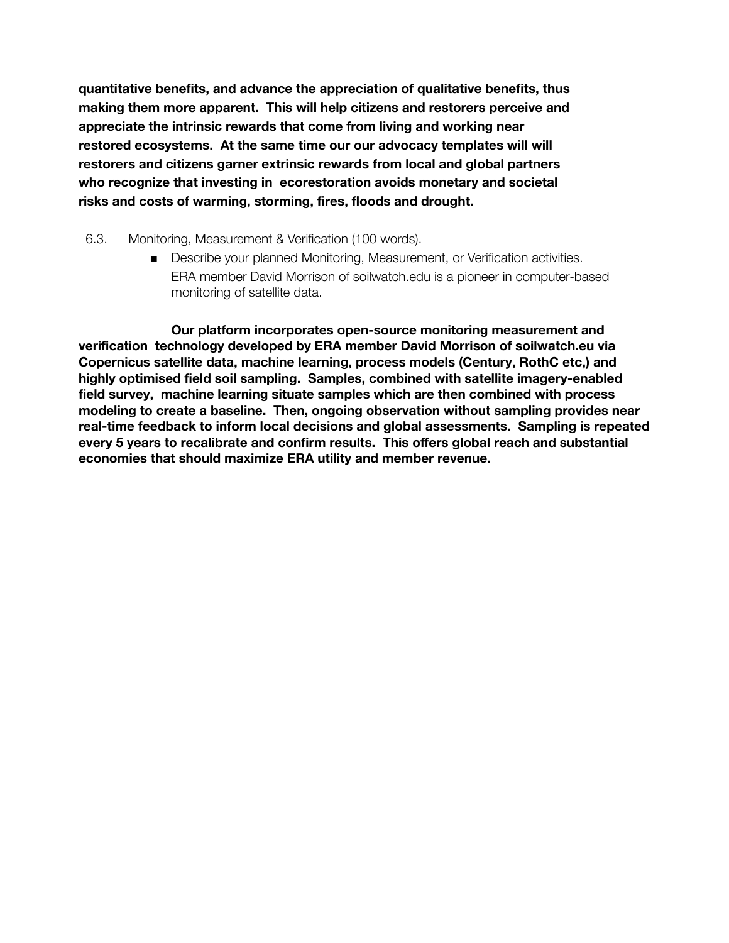**quantitative benefits, and advance the appreciation of qualitative benefits, thus making them more apparent. This will help citizens and restorers perceive and appreciate the intrinsic rewards that come from living and working near restored ecosystems. At the same time our our advocacy templates will will restorers and citizens garner extrinsic rewards from local and global partners who recognize that investing in ecorestoration avoids monetary and societal risks and costs of warming, storming, fires, floods and drought.**

- 6.3. Monitoring, Measurement & Verification (100 words).
	- Describe your planned Monitoring, Measurement, or Verification activities. ERA member David Morrison of soilwatch.edu is a pioneer in computer-based monitoring of satellite data.

**Our platform incorporates open-source monitoring measurement and verification technology developed by ERA member David Morrison of soilwatch.eu via Copernicus satellite data, machine learning, process models (Century, RothC etc,) and highly optimised field soil sampling. Samples, combined with satellite imagery-enabled field survey, machine learning situate samples which are then combined with process modeling to create a baseline. Then, ongoing observation without sampling provides near real-time feedback to inform local decisions and global assessments. Sampling is repeated every 5 years to recalibrate and confirm results. This offers global reach and substantial economies that should maximize ERA utility and member revenue.**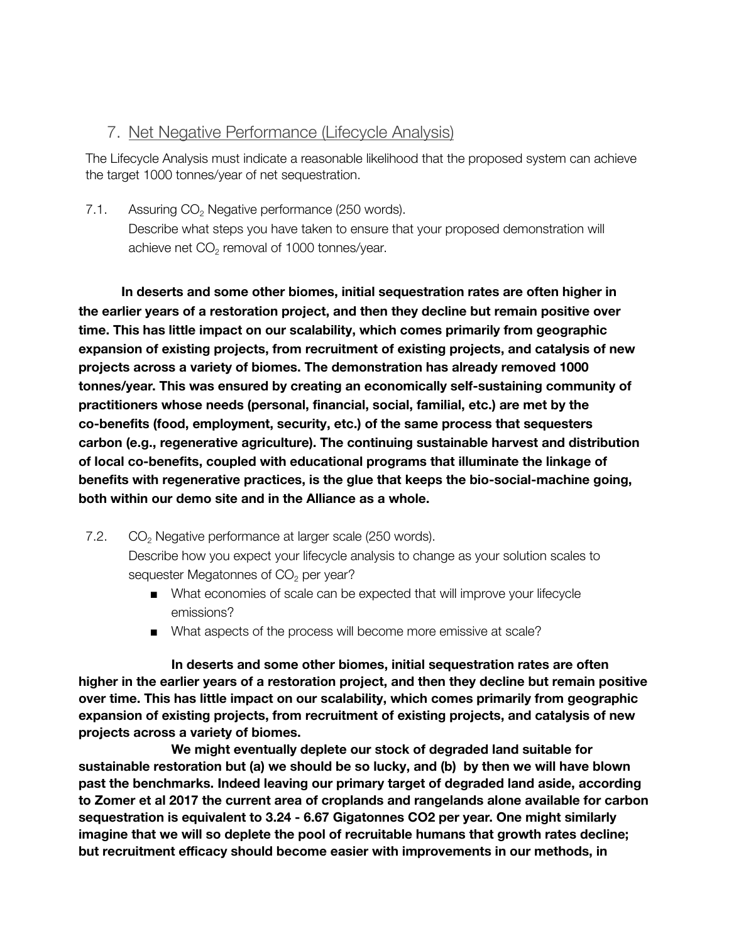## <span id="page-26-0"></span>7. Net Negative Performance (Lifecycle Analysis)

The Lifecycle Analysis must indicate a reasonable likelihood that the proposed system can achieve the target 1000 tonnes/year of net sequestration.

7.1. Assuring  $CO<sub>2</sub>$  Negative performance (250 words). Describe what steps you have taken to ensure that your proposed demonstration will achieve net CO<sub>2</sub> removal of 1000 tonnes/year.

**In deserts and some other biomes, initial sequestration rates are often higher in the earlier years of a restoration project, and then they decline but remain positive over time. This has little impact on our scalability, which comes primarily from geographic expansion of existing projects, from recruitment of existing projects, and catalysis of new projects across a variety of biomes. The demonstration has already removed 1000 tonnes/year. This was ensured by creating an economically self-sustaining community of practitioners whose needs (personal, financial, social, familial, etc.) are met by the co-benefits (food, employment, security, etc.) of the same process that sequesters carbon (e.g., regenerative agriculture). The continuing sustainable harvest and distribution of local co-benefits, coupled with educational programs that illuminate the linkage of benefits with regenerative practices, is the glue that keeps the bio-social-machine going, both within our demo site and in the Alliance as a whole.**

- 7.2.  $CO<sub>2</sub>$  Negative performance at larger scale (250 words). Describe how you expect your lifecycle analysis to change as your solution scales to sequester Megatonnes of  $CO<sub>2</sub>$  per year?
	- What economies of scale can be expected that will improve your lifecycle emissions?
	- What aspects of the process will become more emissive at scale?

**In deserts and some other biomes, initial sequestration rates are often higher in the earlier years of a restoration project, and then they decline but remain positive over time. This has little impact on our scalability, which comes primarily from geographic expansion of existing projects, from recruitment of existing projects, and catalysis of new projects across a variety of biomes.**

**We might eventually deplete our stock of degraded land suitable for sustainable restoration but (a) we should be so lucky, and (b) by then we will have blown past the benchmarks. Indeed leaving our primary target of degraded land aside, according to Zomer et al 2017 the current area of croplands and rangelands alone available for carbon sequestration is equivalent to 3.24 - 6.67 Gigatonnes CO2 per year. One might similarly imagine that we will so deplete the pool of recruitable humans that growth rates decline; but recruitment efficacy should become easier with improvements in our methods, in**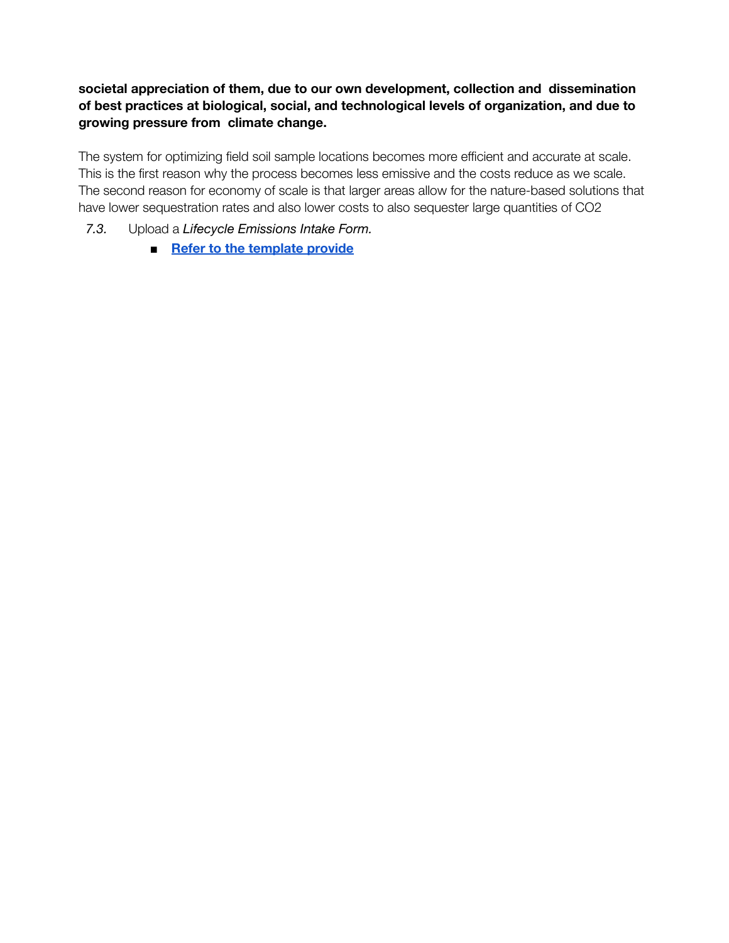## **societal appreciation of them, due to our own development, collection and dissemination of best practices at biological, social, and technological levels of organization, and due to growing pressure from climate change.**

The system for optimizing field soil sample locations becomes more efficient and accurate at scale. This is the first reason why the process becomes less emissive and the costs reduce as we scale. The second reason for economy of scale is that larger areas allow for the nature-based solutions that have lower sequestration rates and also lower costs to also sequester large quantities of CO2

- *7.3.* Upload a *Lifecycle Emissions Intake Form.*
	- **■ Refer to the [template](https://assets-us-01.kc-usercontent.com/63b2a548-6c3c-00e9-179d-86a0cff8b148/bdc78af0-cb08-4865-afc9-2da3cd22d901/LEIF_V3.6.xlsx) provide**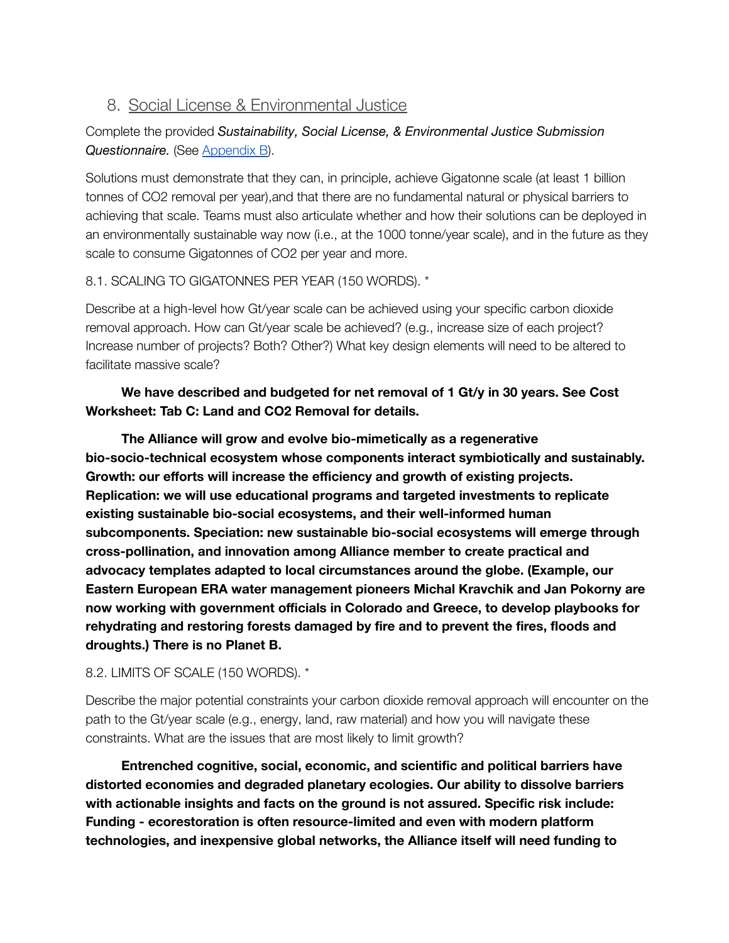## <span id="page-28-0"></span>8. Social License & Environmental Justice

## Complete the provided *Sustainability, Social License, & Environmental Justice Submission Questionnaire.* (See [Appendix](#page-34-2) B).

Solutions must demonstrate that they can, in principle, achieve Gigatonne scale (at least 1 billion tonnes of CO2 removal per year),and that there are no fundamental natural or physical barriers to achieving that scale. Teams must also articulate whether and how their solutions can be deployed in an environmentally sustainable way now (i.e., at the 1000 tonne/year scale), and in the future as they scale to consume Gigatonnes of CO2 per year and more.

## 8.1. SCALING TO GIGATONNES PER YEAR (150 WORDS). \*

Describe at a high-level how Gt/year scale can be achieved using your specific carbon dioxide removal approach. How can Gt/year scale be achieved? (e.g., increase size of each project? Increase number of projects? Both? Other?) What key design elements will need to be altered to facilitate massive scale?

## **We have described and budgeted for net removal of 1 Gt/y in 30 years. See Cost Worksheet: Tab C: Land and CO2 Removal for details.**

**The Alliance will grow and evolve bio-mimetically as a regenerative bio-socio-technical ecosystem whose components interact symbiotically and sustainably. Growth: our efforts will increase the efficiency and growth of existing projects. Replication: we will use educational programs and targeted investments to replicate existing sustainable bio-social ecosystems, and their well-informed human subcomponents. Speciation: new sustainable bio-social ecosystems will emerge through cross-pollination, and innovation among Alliance member to create practical and advocacy templates adapted to local circumstances around the globe. (Example, our Eastern European ERA water management pioneers Michal Kravchik and Jan Pokorny are now working with government officials in Colorado and Greece, to develop playbooks for rehydrating and restoring forests damaged by fire and to prevent the fires, floods and droughts.) There is no Planet B.**

## 8.2. LIMITS OF SCALE (150 WORDS). \*

Describe the major potential constraints your carbon dioxide removal approach will encounter on the path to the Gt/year scale (e.g., energy, land, raw material) and how you will navigate these constraints. What are the issues that are most likely to limit growth?

**Entrenched cognitive, social, economic, and scientific and political barriers have distorted economies and degraded planetary ecologies. Our ability to dissolve barriers with actionable insights and facts on the ground is not assured. Specific risk include: Funding - ecorestoration is often resource-limited and even with modern platform technologies, and inexpensive global networks, the Alliance itself will need funding to**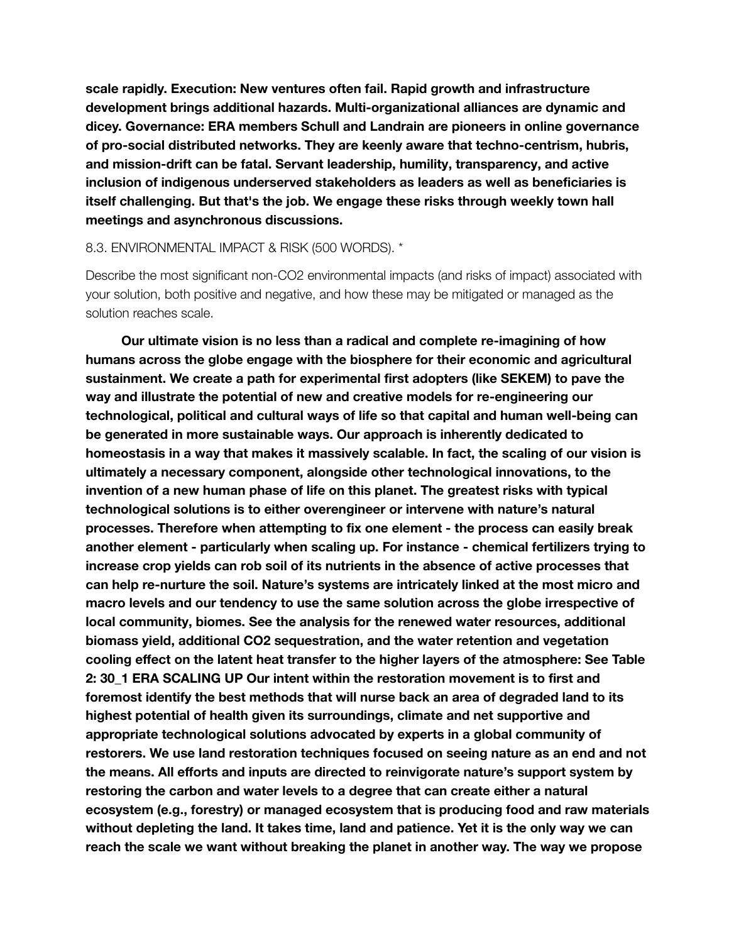**scale rapidly. Execution: New ventures often fail. Rapid growth and infrastructure development brings additional hazards. Multi-organizational alliances are dynamic and dicey. Governance: ERA members Schull and Landrain are pioneers in online governance of pro-social distributed networks. They are keenly aware that techno-centrism, hubris, and mission-drift can be fatal. Servant leadership, humility, transparency, and active inclusion of indigenous underserved stakeholders as leaders as well as beneficiaries is itself challenging. But that's the job. We engage these risks through weekly town hall meetings and asynchronous discussions.**

#### 8.3. ENVIRONMENTAL IMPACT & RISK (500 WORDS). \*

Describe the most significant non-CO2 environmental impacts (and risks of impact) associated with your solution, both positive and negative, and how these may be mitigated or managed as the solution reaches scale.

**Our ultimate vision is no less than a radical and complete re-imagining of how humans across the globe engage with the biosphere for their economic and agricultural sustainment. We create a path for experimental first adopters (like SEKEM) to pave the way and illustrate the potential of new and creative models for re-engineering our technological, political and cultural ways of life so that capital and human well-being can be generated in more sustainable ways. Our approach is inherently dedicated to homeostasis in a way that makes it massively scalable. In fact, the scaling of our vision is ultimately a necessary component, alongside other technological innovations, to the invention of a new human phase of life on this planet. The greatest risks with typical technological solutions is to either overengineer or intervene with nature's natural processes. Therefore when attempting to fix one element - the process can easily break another element - particularly when scaling up. For instance - chemical fertilizers trying to increase crop yields can rob soil of its nutrients in the absence of active processes that can help re-nurture the soil. Nature's systems are intricately linked at the most micro and macro levels and our tendency to use the same solution across the globe irrespective of local community, biomes. See the analysis for the renewed water resources, additional biomass yield, additional CO2 sequestration, and the water retention and vegetation cooling effect on the latent heat transfer to the higher layers of the atmosphere: See Table 2: 30\_1 ERA SCALING UP Our intent within the restoration movement is to first and foremost identify the best methods that will nurse back an area of degraded land to its highest potential of health given its surroundings, climate and net supportive and appropriate technological solutions advocated by experts in a global community of restorers. We use land restoration techniques focused on seeing nature as an end and not the means. All efforts and inputs are directed to reinvigorate nature's support system by restoring the carbon and water levels to a degree that can create either a natural ecosystem (e.g., forestry) or managed ecosystem that is producing food and raw materials without depleting the land. It takes time, land and patience. Yet it is the only way we can reach the scale we want without breaking the planet in another way. The way we propose**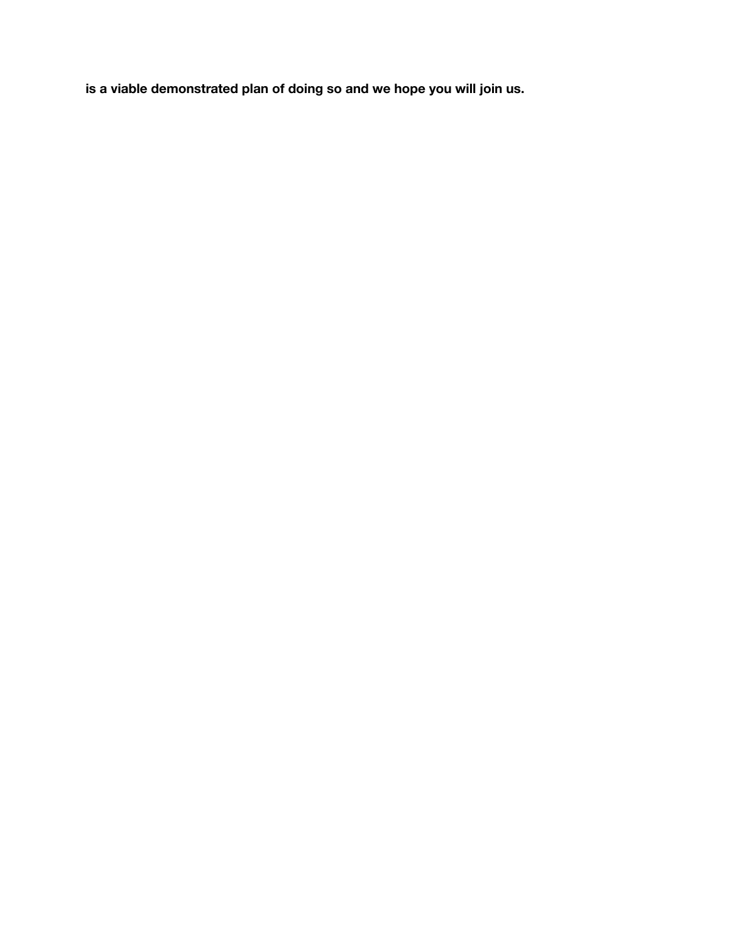**is a viable demonstrated plan of doing so and we hope you will join us.**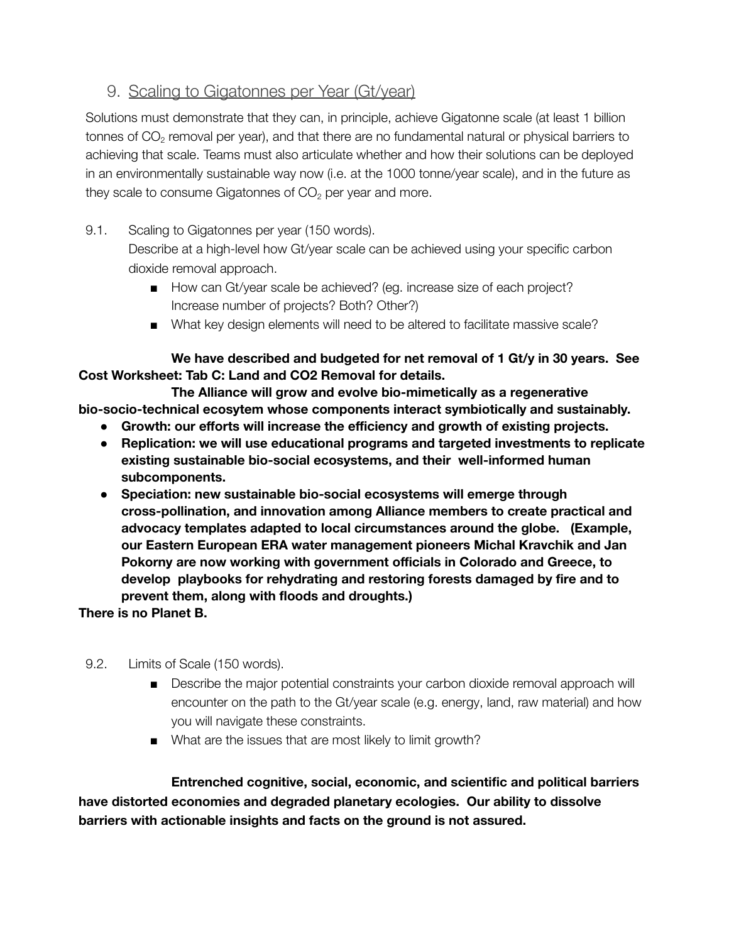## <span id="page-31-0"></span>9. Scaling to Gigatonnes per Year (Gt/year)

Solutions must demonstrate that they can, in principle, achieve Gigatonne scale (at least 1 billion tonnes of CO $_2$  removal per year), and that there are no fundamental natural or physical barriers to achieving that scale. Teams must also articulate whether and how their solutions can be deployed in an environmentally sustainable way now (i.e. at the 1000 tonne/year scale), and in the future as they scale to consume Gigatonnes of  $CO<sub>2</sub>$  per year and more.

9.1. Scaling to Gigatonnes per year (150 words).

Describe at a high-level how Gt/year scale can be achieved using your specific carbon dioxide removal approach.

- How can Gt/year scale be achieved? (eg. increase size of each project? Increase number of projects? Both? Other?)
- What key design elements will need to be altered to facilitate massive scale?

**We have described and budgeted for net removal of 1 Gt/y in 30 years. See Cost Worksheet: Tab C: Land and CO2 Removal for details.**

**The Alliance will grow and evolve bio-mimetically as a regenerative bio-socio-technical ecosytem whose components interact symbiotically and sustainably.**

- **● Growth: our efforts will increase the efficiency and growth of existing projects.**
- **● Replication: we will use educational programs and targeted investments to replicate existing sustainable bio-social ecosystems, and their well-informed human subcomponents.**
- **● Speciation: new sustainable bio-social ecosystems will emerge through cross-pollination, and innovation among Alliance members to create practical and advocacy templates adapted to local circumstances around the globe. (Example, our Eastern European ERA water management pioneers Michal Kravchik and Jan Pokorny are now working with government officials in Colorado and Greece, to develop playbooks for rehydrating and restoring forests damaged by fire and to prevent them, along with floods and droughts.)**

**There is no Planet B.**

- 9.2. Limits of Scale (150 words).
	- Describe the major potential constraints your carbon dioxide removal approach will encounter on the path to the Gt/year scale (e.g. energy, land, raw material) and how you will navigate these constraints.
	- What are the issues that are most likely to limit growth?

**Entrenched cognitive, social, economic, and scientific and political barriers have distorted economies and degraded planetary ecologies. Our ability to dissolve barriers with actionable insights and facts on the ground is not assured.**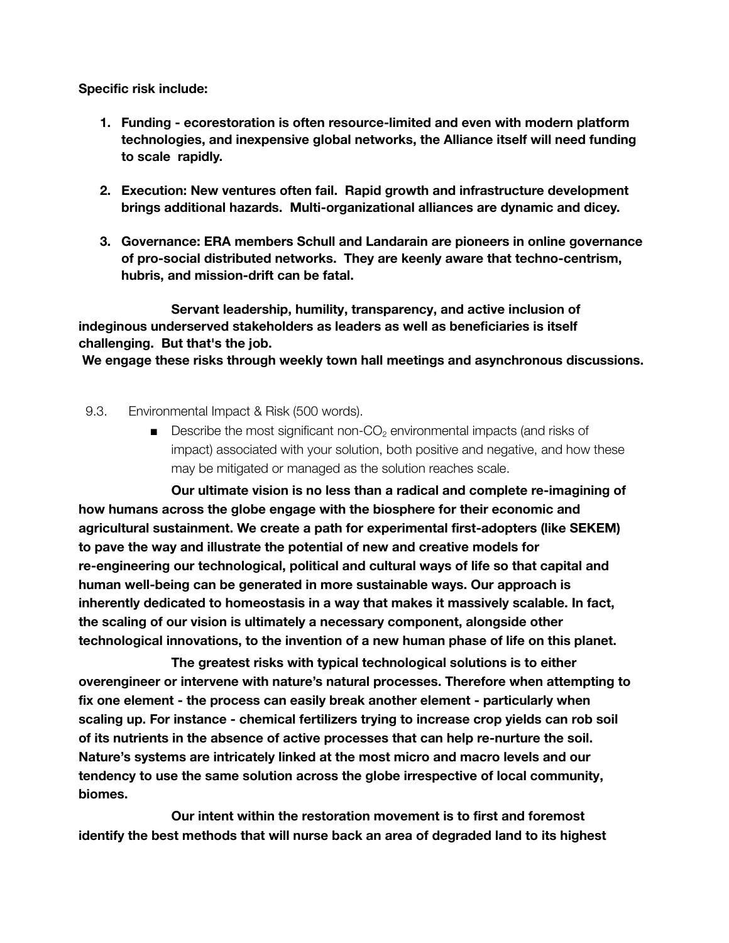**Specific risk include:**

- **1. Funding - ecorestoration is often resource-limited and even with modern platform technologies, and inexpensive global networks, the Alliance itself will need funding to scale rapidly.**
- **2. Execution: New ventures often fail. Rapid growth and infrastructure development brings additional hazards. Multi-organizational alliances are dynamic and dicey.**
- **3. Governance: ERA members Schull and Landarain are pioneers in online governance of pro-social distributed networks. They are keenly aware that techno-centrism, hubris, and mission-drift can be fatal.**

**Servant leadership, humility, transparency, and active inclusion of indeginous underserved stakeholders as leaders as well as beneficiaries is itself challenging. But that's the job.**

**We engage these risks through weekly town hall meetings and asynchronous discussions.**

- 9.3. Environmental Impact & Risk (500 words).
	- $\blacksquare$  Describe the most significant non-CO<sub>2</sub> environmental impacts (and risks of impact) associated with your solution, both positive and negative, and how these may be mitigated or managed as the solution reaches scale.

**Our ultimate vision is no less than a radical and complete re-imagining of how humans across the globe engage with the biosphere for their economic and agricultural sustainment. We create a path for experimental first-adopters (like SEKEM) to pave the way and illustrate the potential of new and creative models for re-engineering our technological, political and cultural ways of life so that capital and human well-being can be generated in more sustainable ways. Our approach is inherently dedicated to homeostasis in a way that makes it massively scalable. In fact, the scaling of our vision is ultimately a necessary component, alongside other technological innovations, to the invention of a new human phase of life on this planet.**

**The greatest risks with typical technological solutions is to either overengineer or intervene with nature's natural processes. Therefore when attempting to fix one element - the process can easily break another element - particularly when scaling up. For instance - chemical fertilizers trying to increase crop yields can rob soil of its nutrients in the absence of active processes that can help re-nurture the soil. Nature's systems are intricately linked at the most micro and macro levels and our tendency to use the same solution across the globe irrespective of local community, biomes.**

**Our intent within the restoration movement is to first and foremost identify the best methods that will nurse back an area of degraded land to its highest**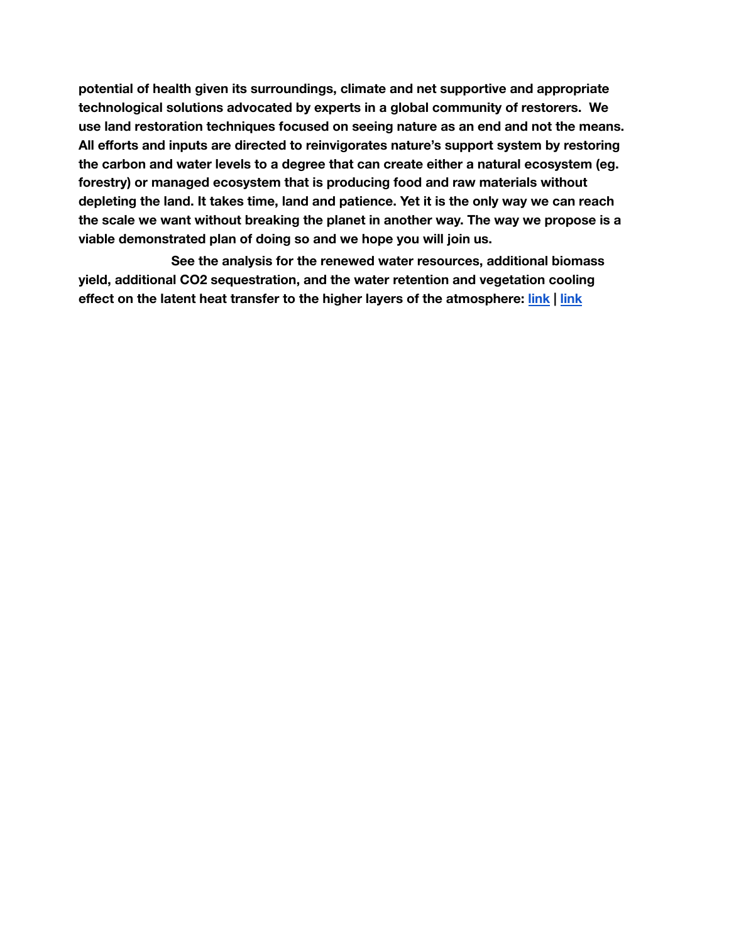**potential of health given its surroundings, climate and net supportive and appropriate technological solutions advocated by experts in a global community of restorers. We use land restoration techniques focused on seeing nature as an end and not the means. All efforts and inputs are directed to reinvigorates nature's support system by restoring the carbon and water levels to a degree that can create either a natural ecosystem (eg. forestry) or managed ecosystem that is producing food and raw materials without depleting the land. It takes time, land and patience. Yet it is the only way we can reach the scale we want without breaking the planet in another way. The way we propose is a viable demonstrated plan of doing so and we hope you will join us.**

**See the analysis for the renewed water resources, additional biomass yield, additional CO2 sequestration, and the water retention and vegetation cooling effect on the latent heat transfer to the higher layers of the atmosphere: [link](https://docs.google.com/spreadsheets/d/1xADRkQ0i_QOQZfc2WSAdwYIXJsZBgUZP/edit?usp=sharing&ouid=109607429211260888131&rtpof=true&sd=true) | [link](https://docs.google.com/document/d/1Bb288--61h2ZLGE3JRLP7J3nWCtquqkK/edit?usp=sharing&ouid=109607429211260888131&rtpof=true&sd=true)**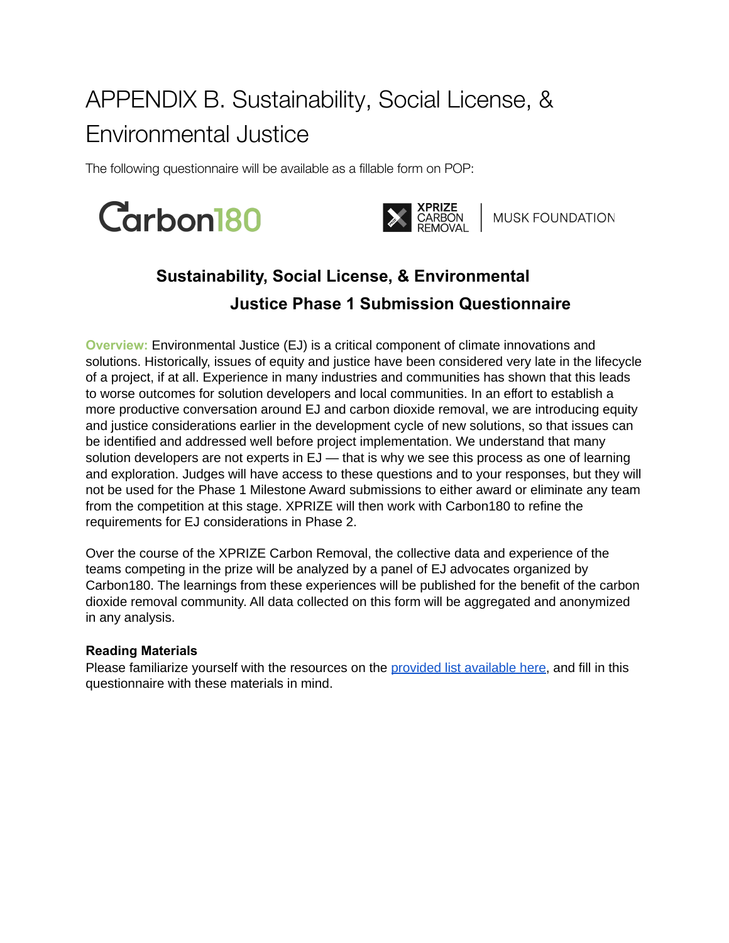# <span id="page-34-2"></span><span id="page-34-0"></span>APPENDIX B. Sustainability, Social License, & Environmental Justice

The following questionnaire will be available as a fillable form on POP:





XPRIZE<br>CARBON MUSK FOUNDATION

## **Sustainability, Social License, & Environmental Justice Phase 1 Submission Questionnaire**

**Overview:** Environmental Justice (EJ) is a critical component of climate innovations and solutions. Historically, issues of equity and justice have been considered very late in the lifecycle of a project, if at all. Experience in many industries and communities has shown that this leads to worse outcomes for solution developers and local communities. In an effort to establish a more productive conversation around EJ and carbon dioxide removal, we are introducing equity and justice considerations earlier in the development cycle of new solutions, so that issues can be identified and addressed well before project implementation. We understand that many solution developers are not experts in EJ — that is why we see this process as one of learning and exploration. Judges will have access to these questions and to your responses, but they will not be used for the Phase 1 Milestone Award submissions to either award or eliminate any team from the competition at this stage. XPRIZE will then work with Carbon180 to refine the requirements for EJ considerations in Phase 2.

Over the course of the XPRIZE Carbon Removal, the collective data and experience of the teams competing in the prize will be analyzed by a panel of EJ advocates organized by Carbon180. The learnings from these experiences will be published for the benefit of the carbon dioxide removal community. All data collected on this form will be aggregated and anonymized in any analysis.

### <span id="page-34-1"></span>**Reading Materials**

Please familiarize yourself with the resources on the provided list [available](https://static1.squarespace.com/static/5b9362d89d5abb8c51d474f8/t/619bd9688d8f10476b9a30b8/1637603688762/EJ%2Breading%2Bmaterials.pdf) here, and fill in this questionnaire with these materials in mind.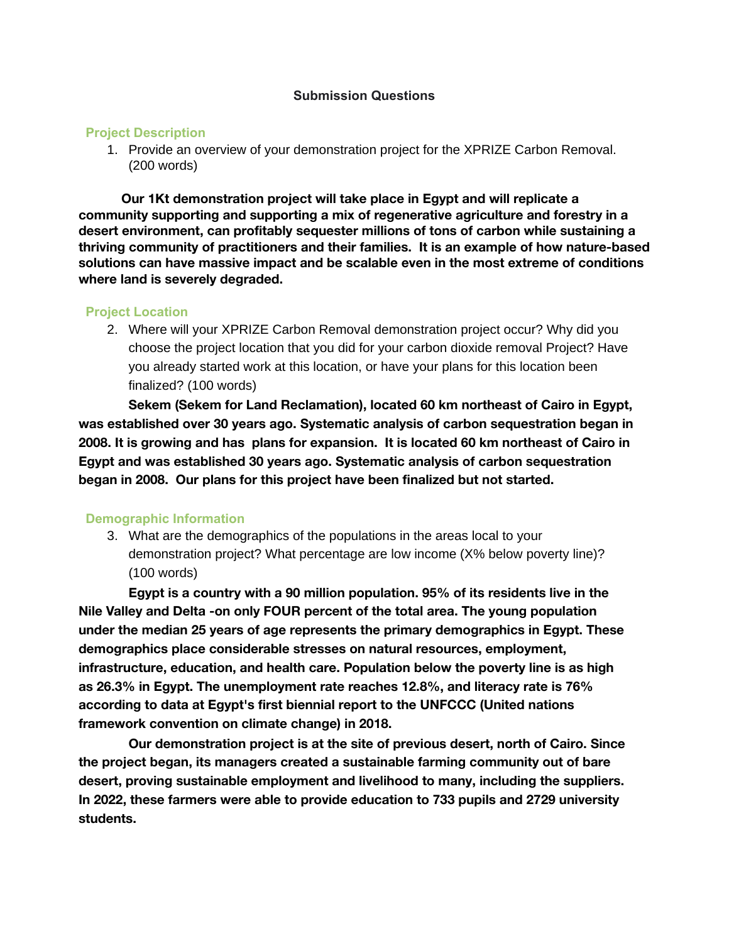#### **Submission Questions**

#### **Project Description**

1. Provide an overview of your demonstration project for the XPRIZE Carbon Removal. (200 words)

**Our 1Kt demonstration project will take place in Egypt and will replicate a community supporting and supporting a mix of regenerative agriculture and forestry in a desert environment, can profitably sequester millions of tons of carbon while sustaining a thriving community of practitioners and their families. It is an example of how nature-based solutions can have massive impact and be scalable even in the most extreme of conditions where land is severely degraded.**

#### **Project Location**

2. Where will your XPRIZE Carbon Removal demonstration project occur? Why did you choose the project location that you did for your carbon dioxide removal Project? Have you already started work at this location, or have your plans for this location been finalized? (100 words)

**Sekem (Sekem for Land Reclamation), located 60 km northeast of Cairo in Egypt, was established over 30 years ago. Systematic analysis of carbon sequestration began in 2008. It is growing and has plans for expansion. It is located 60 km northeast of Cairo in Egypt and was established 30 years ago. Systematic analysis of carbon sequestration began in 2008. Our plans for this project have been finalized but not started.**

#### **Demographic Information**

3. What are the demographics of the populations in the areas local to your demonstration project? What percentage are low income (X% below poverty line)? (100 words)

**Egypt is a country with a 90 million population. 95% of its residents live in the Nile Valley and Delta -on only FOUR percent of the total area. The young population under the median 25 years of age represents the primary demographics in Egypt. These demographics place considerable stresses on natural resources, employment, infrastructure, education, and health care. Population below the poverty line is as high as 26.3% in Egypt. The unemployment rate reaches 12.8%, and literacy rate is 76% according to data at Egypt's first biennial report to the UNFCCC (United nations framework convention on climate change) in 2018.**

**Our demonstration project is at the site of previous desert, north of Cairo. Since the project began, its managers created a sustainable farming community out of bare desert, proving sustainable employment and livelihood to many, including the suppliers. In 2022, these farmers were able to provide education to 733 pupils and 2729 university students.**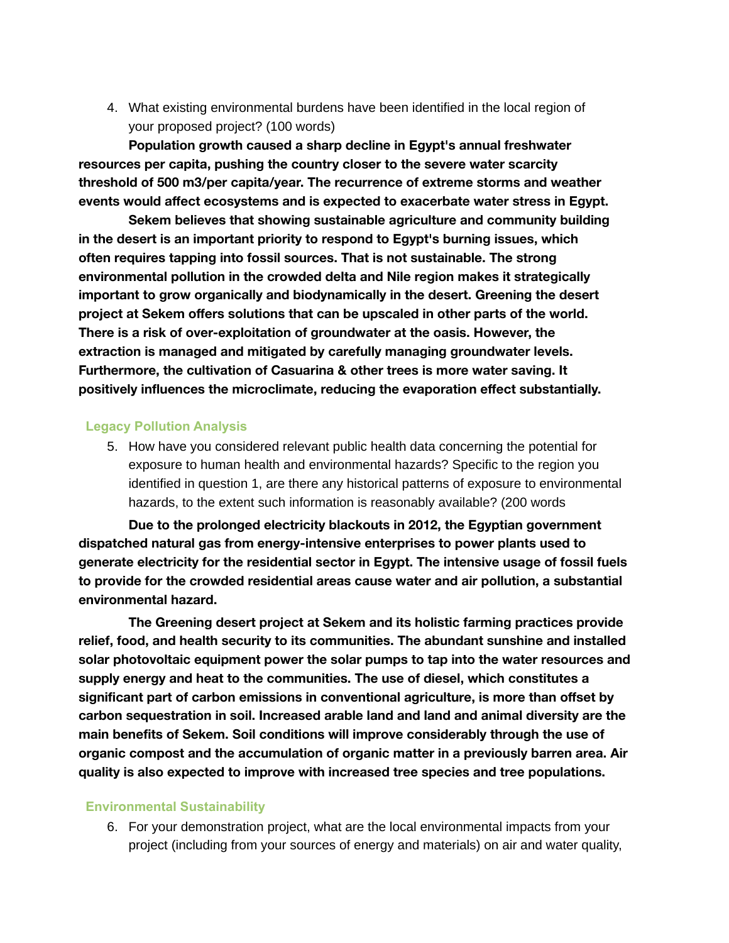4. What existing environmental burdens have been identified in the local region of your proposed project? (100 words)

**Population growth caused a sharp decline in Egypt's annual freshwater resources per capita, pushing the country closer to the severe water scarcity threshold of 500 m3/per capita/year. The recurrence of extreme storms and weather events would affect ecosystems and is expected to exacerbate water stress in Egypt.**

**Sekem believes that showing sustainable agriculture and community building in the desert is an important priority to respond to Egypt's burning issues, which often requires tapping into fossil sources. That is not sustainable. The strong environmental pollution in the crowded delta and Nile region makes it strategically important to grow organically and biodynamically in the desert. Greening the desert project at Sekem offers solutions that can be upscaled in other parts of the world. There is a risk of over-exploitation of groundwater at the oasis. However, the extraction is managed and mitigated by carefully managing groundwater levels. Furthermore, the cultivation of Casuarina & other trees is more water saving. It positively influences the microclimate, reducing the evaporation effect substantially.**

#### **Legacy Pollution Analysis**

5. How have you considered relevant public health data concerning the potential for exposure to human health and environmental hazards? Specific to the region you identified in question 1, are there any historical patterns of exposure to environmental hazards, to the extent such information is reasonably available? (200 words

**Due to the prolonged electricity blackouts in 2012, the Egyptian government dispatched natural gas from energy-intensive enterprises to power plants used to generate electricity for the residential sector in Egypt. The intensive usage of fossil fuels to provide for the crowded residential areas cause water and air pollution, a substantial environmental hazard.**

**The Greening desert project at Sekem and its holistic farming practices provide relief, food, and health security to its communities. The abundant sunshine and installed solar photovoltaic equipment power the solar pumps to tap into the water resources and supply energy and heat to the communities. The use of diesel, which constitutes a significant part of carbon emissions in conventional agriculture, is more than offset by carbon sequestration in soil. Increased arable land and land and animal diversity are the main benefits of Sekem. Soil conditions will improve considerably through the use of organic compost and the accumulation of organic matter in a previously barren area. Air quality is also expected to improve with increased tree species and tree populations.**

#### **Environmental Sustainability**

6. For your demonstration project, what are the local environmental impacts from your project (including from your sources of energy and materials) on air and water quality,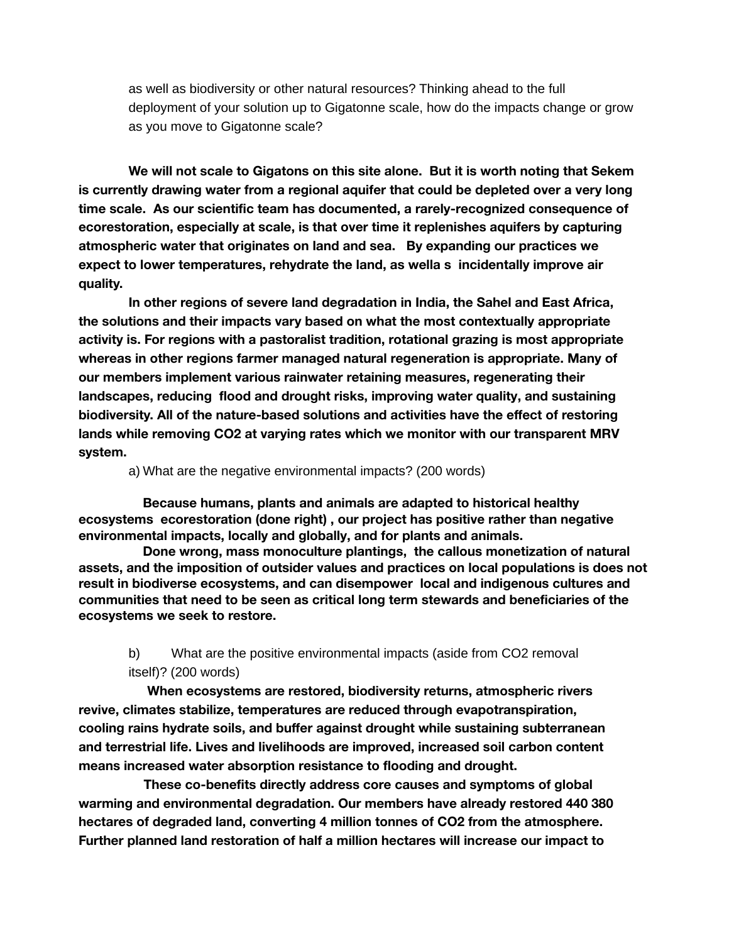as well as biodiversity or other natural resources? Thinking ahead to the full deployment of your solution up to Gigatonne scale, how do the impacts change or grow as you move to Gigatonne scale?

**We will not scale to Gigatons on this site alone. But it is worth noting that Sekem is currently drawing water from a regional aquifer that could be depleted over a very long time scale. As our scientific team has documented, a rarely-recognized consequence of ecorestoration, especially at scale, is that over time it replenishes aquifers by capturing atmospheric water that originates on land and sea. By expanding our practices we expect to lower temperatures, rehydrate the land, as wella s incidentally improve air quality.**

**In other regions of severe land degradation in India, the Sahel and East Africa, the solutions and their impacts vary based on what the most contextually appropriate activity is. For regions with a pastoralist tradition, rotational grazing is most appropriate whereas in other regions farmer managed natural regeneration is appropriate. Many of our members implement various rainwater retaining measures, regenerating their landscapes, reducing flood and drought risks, improving water quality, and sustaining biodiversity. All of the nature-based solutions and activities have the effect of restoring lands while removing CO2 at varying rates which we monitor with our transparent MRV system.**

a) What are the negative environmental impacts? (200 words)

**Because humans, plants and animals are adapted to historical healthy ecosystems ecorestoration (done right) , our project has positive rather than negative environmental impacts, locally and globally, and for plants and animals.**

**Done wrong, mass monoculture plantings, the callous monetization of natural assets, and the imposition of outsider values and practices on local populations is does not result in biodiverse ecosystems, and can disempower local and indigenous cultures and communities that need to be seen as critical long term stewards and beneficiaries of the ecosystems we seek to restore.**

## b) What are the positive environmental impacts (aside from CO2 removal itself)? (200 words)

**When ecosystems are restored, biodiversity returns, atmospheric rivers revive, climates stabilize, temperatures are reduced through evapotranspiration, cooling rains hydrate soils, and buffer against drought while sustaining subterranean and terrestrial life. Lives and livelihoods are improved, increased soil carbon content means increased water absorption resistance to flooding and drought.**

**These co-benefits directly address core causes and symptoms of global warming and environmental degradation. Our members have already restored 440 380 hectares of degraded land, converting 4 million tonnes of CO2 from the atmosphere. Further planned land restoration of half a million hectares will increase our impact to**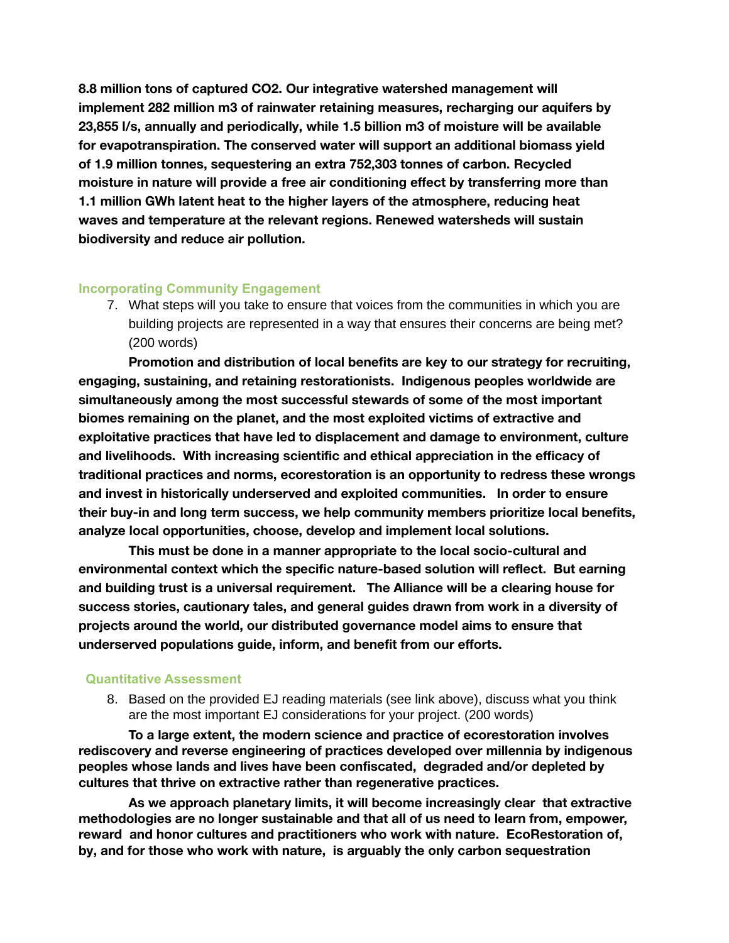**8.8 million tons of captured CO2. Our integrative watershed management will implement 282 million m3 of rainwater retaining measures, recharging our aquifers by 23,855 l/s, annually and periodically, while 1.5 billion m3 of moisture will be available for evapotranspiration. The conserved water will support an additional biomass yield of 1.9 million tonnes, sequestering an extra 752,303 tonnes of carbon. Recycled moisture in nature will provide a free air conditioning effect by transferring more than 1.1 million GWh latent heat to the higher layers of the atmosphere, reducing heat waves and temperature at the relevant regions. Renewed watersheds will sustain biodiversity and reduce air pollution.**

#### **Incorporating Community Engagement**

7. What steps will you take to ensure that voices from the communities in which you are building projects are represented in a way that ensures their concerns are being met? (200 words)

**Promotion and distribution of local benefits are key to our strategy for recruiting, engaging, sustaining, and retaining restorationists. Indigenous peoples worldwide are simultaneously among the most successful stewards of some of the most important biomes remaining on the planet, and the most exploited victims of extractive and exploitative practices that have led to displacement and damage to environment, culture and livelihoods. With increasing scientific and ethical appreciation in the efficacy of traditional practices and norms, ecorestoration is an opportunity to redress these wrongs and invest in historically underserved and exploited communities. In order to ensure their buy-in and long term success, we help community members prioritize local benefits, analyze local opportunities, choose, develop and implement local solutions.**

**This must be done in a manner appropriate to the local socio-cultural and environmental context which the specific nature-based solution will reflect. But earning and building trust is a universal requirement. The Alliance will be a clearing house for success stories, cautionary tales, and general guides drawn from work in a diversity of projects around the world, our distributed governance model aims to ensure that underserved populations guide, inform, and benefit from our efforts.**

#### **Quantitative Assessment**

8. Based on the provided EJ reading materials (see link above), discuss what you think are the most important EJ considerations for your project. (200 words)

**To a large extent, the modern science and practice of ecorestoration involves rediscovery and reverse engineering of practices developed over millennia by indigenous peoples whose lands and lives have been confiscated, degraded and/or depleted by cultures that thrive on extractive rather than regenerative practices.**

**As we approach planetary limits, it will become increasingly clear that extractive methodologies are no longer sustainable and that all of us need to learn from, empower, reward and honor cultures and practitioners who work with nature. EcoRestoration of, by, and for those who work with nature, is arguably the only carbon sequestration**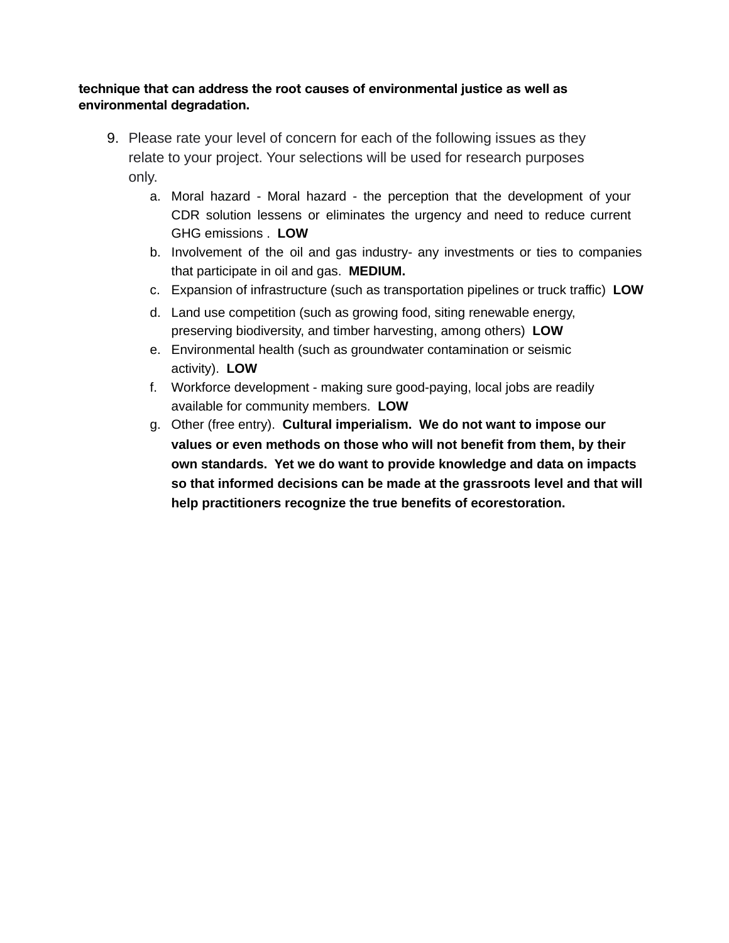### **technique that can address the root causes of environmental justice as well as environmental degradation.**

- 9. Please rate your level of concern for each of the following issues as they relate to your project. Your selections will be used for research purposes only.
	- a. Moral hazard Moral hazard the perception that the development of your CDR solution lessens or eliminates the urgency and need to reduce current GHG emissions . **LOW**
	- b. Involvement of the oil and gas industry- any investments or ties to companies that participate in oil and gas. **MEDIUM.**
	- c. Expansion of infrastructure (such as transportation pipelines or truck traffic) **LOW**
	- d. Land use competition (such as growing food, siting renewable energy, preserving biodiversity, and timber harvesting, among others) **LOW**
	- e. Environmental health (such as groundwater contamination or seismic activity). **LOW**
	- f. Workforce development making sure good-paying, local jobs are readily available for community members. **LOW**
	- g. Other (free entry). **Cultural imperialism. We do not want to impose our values or even methods on those who will not benefit from them, by their own standards. Yet we do want to provide knowledge and data on impacts so that informed decisions can be made at the grassroots level and that will help practitioners recognize the true benefits of ecorestoration.**